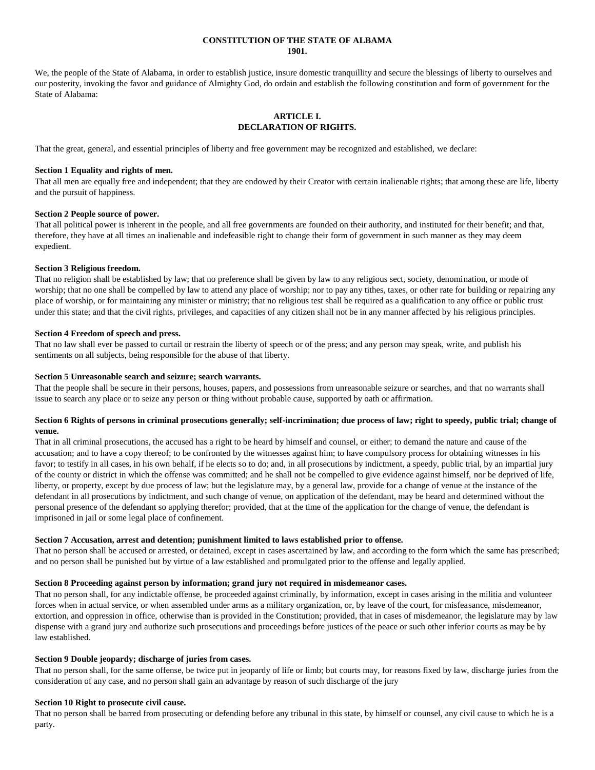## **CONSTITUTION OF THE STATE OF ALBAMA 1901.**

We, the people of the State of Alabama, in order to establish justice, insure domestic tranquillity and secure the blessings of liberty to ourselves and our posterity, invoking the favor and guidance of Almighty God, do ordain and establish the following constitution and form of government for the State of Alabama:

## **ARTICLE I. DECLARATION OF RIGHTS.**

That the great, general, and essential principles of liberty and free government may be recognized and established, we declare:

#### **Section 1 Equality and rights of men.**

That all men are equally free and independent; that they are endowed by their Creator with certain inalienable rights; that among these are life, liberty and the pursuit of happiness.

## **Section 2 People source of power.**

That all political power is inherent in the people, and all free governments are founded on their authority, and instituted for their benefit; and that, therefore, they have at all times an inalienable and indefeasible right to change their form of government in such manner as they may deem expedient.

#### **Section 3 Religious freedom.**

That no religion shall be established by law; that no preference shall be given by law to any religious sect, society, denomination, or mode of worship; that no one shall be compelled by law to attend any place of worship; nor to pay any tithes, taxes, or other rate for building or repairing any place of worship, or for maintaining any minister or ministry; that no religious test shall be required as a qualification to any office or public trust under this state; and that the civil rights, privileges, and capacities of any citizen shall not be in any manner affected by his religious principles.

#### **Section 4 Freedom of speech and press.**

That no law shall ever be passed to curtail or restrain the liberty of speech or of the press; and any person may speak, write, and publish his sentiments on all subjects, being responsible for the abuse of that liberty.

#### **Section 5 Unreasonable search and seizure; search warrants.**

That the people shall be secure in their persons, houses, papers, and possessions from unreasonable seizure or searches, and that no warrants shall issue to search any place or to seize any person or thing without probable cause, supported by oath or affirmation.

## **Section 6 Rights of persons in criminal prosecutions generally; self-incrimination; due process of law; right to speedy, public trial; change of venue.**

That in all criminal prosecutions, the accused has a right to be heard by himself and counsel, or either; to demand the nature and cause of the accusation; and to have a copy thereof; to be confronted by the witnesses against him; to have compulsory process for obtaining witnesses in his favor; to testify in all cases, in his own behalf, if he elects so to do; and, in all prosecutions by indictment, a speedy, public trial, by an impartial jury of the county or district in which the offense was committed; and he shall not be compelled to give evidence against himself, nor be deprived of life, liberty, or property, except by due process of law; but the legislature may, by a general law, provide for a change of venue at the instance of the defendant in all prosecutions by indictment, and such change of venue, on application of the defendant, may be heard and determined without the personal presence of the defendant so applying therefor; provided, that at the time of the application for the change of venue, the defendant is imprisoned in jail or some legal place of confinement.

#### **Section 7 Accusation, arrest and detention; punishment limited to laws established prior to offense.**

That no person shall be accused or arrested, or detained, except in cases ascertained by law, and according to the form which the same has prescribed; and no person shall be punished but by virtue of a law established and promulgated prior to the offense and legally applied.

## **Section 8 Proceeding against person by information; grand jury not required in misdemeanor cases.**

That no person shall, for any indictable offense, be proceeded against criminally, by information, except in cases arising in the militia and volunteer forces when in actual service, or when assembled under arms as a military organization, or, by leave of the court, for misfeasance, misdemeanor, extortion, and oppression in office, otherwise than is provided in the Constitution; provided, that in cases of misdemeanor, the legislature may by law dispense with a grand jury and authorize such prosecutions and proceedings before justices of the peace or such other inferior courts as may be by law established.

#### **Section 9 Double jeopardy; discharge of juries from cases.**

That no person shall, for the same offense, be twice put in jeopardy of life or limb; but courts may, for reasons fixed by law, discharge juries from the consideration of any case, and no person shall gain an advantage by reason of such discharge of the jury

#### **Section 10 Right to prosecute civil cause.**

That no person shall be barred from prosecuting or defending before any tribunal in this state, by himself or counsel, any civil cause to which he is a party.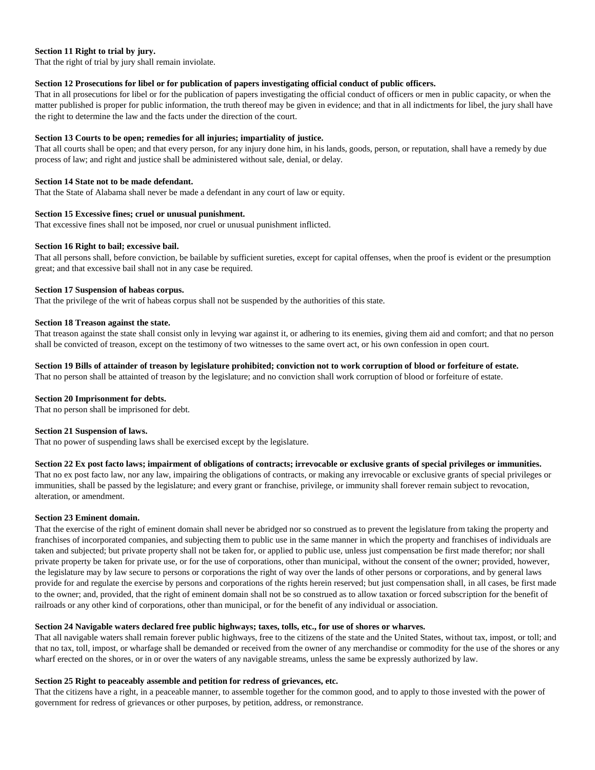# **Section 11 Right to trial by jury.**

That the right of trial by jury shall remain inviolate.

## **Section 12 Prosecutions for libel or for publication of papers investigating official conduct of public officers.**

That in all prosecutions for libel or for the publication of papers investigating the official conduct of officers or men in public capacity, or when the matter published is proper for public information, the truth thereof may be given in evidence; and that in all indictments for libel, the jury shall have the right to determine the law and the facts under the direction of the court.

## **Section 13 Courts to be open; remedies for all injuries; impartiality of justice.**

That all courts shall be open; and that every person, for any injury done him, in his lands, goods, person, or reputation, shall have a remedy by due process of law; and right and justice shall be administered without sale, denial, or delay.

## **Section 14 State not to be made defendant.**

That the State of Alabama shall never be made a defendant in any court of law or equity.

## **Section 15 Excessive fines; cruel or unusual punishment.**

That excessive fines shall not be imposed, nor cruel or unusual punishment inflicted.

## **Section 16 Right to bail; excessive bail.**

That all persons shall, before conviction, be bailable by sufficient sureties, except for capital offenses, when the proof is evident or the presumption great; and that excessive bail shall not in any case be required.

## **Section 17 Suspension of habeas corpus.**

That the privilege of the writ of habeas corpus shall not be suspended by the authorities of this state.

## **Section 18 Treason against the state.**

That treason against the state shall consist only in levying war against it, or adhering to its enemies, giving them aid and comfort; and that no person shall be convicted of treason, except on the testimony of two witnesses to the same overt act, or his own confession in open court.

## **Section 19 Bills of attainder of treason by legislature prohibited; conviction not to work corruption of blood or forfeiture of estate.**

That no person shall be attainted of treason by the legislature; and no conviction shall work corruption of blood or forfeiture of estate.

#### **Section 20 Imprisonment for debts.**

That no person shall be imprisoned for debt.

#### **Section 21 Suspension of laws.**

That no power of suspending laws shall be exercised except by the legislature.

# **Section 22 Ex post facto laws; impairment of obligations of contracts; irrevocable or exclusive grants of special privileges or immunities.**

That no ex post facto law, nor any law, impairing the obligations of contracts, or making any irrevocable or exclusive grants of special privileges or immunities, shall be passed by the legislature; and every grant or franchise, privilege, or immunity shall forever remain subject to revocation, alteration, or amendment.

## **Section 23 Eminent domain.**

That the exercise of the right of eminent domain shall never be abridged nor so construed as to prevent the legislature from taking the property and franchises of incorporated companies, and subjecting them to public use in the same manner in which the property and franchises of individuals are taken and subjected; but private property shall not be taken for, or applied to public use, unless just compensation be first made therefor; nor shall private property be taken for private use, or for the use of corporations, other than municipal, without the consent of the owner; provided, however, the legislature may by law secure to persons or corporations the right of way over the lands of other persons or corporations, and by general laws provide for and regulate the exercise by persons and corporations of the rights herein reserved; but just compensation shall, in all cases, be first made to the owner; and, provided, that the right of eminent domain shall not be so construed as to allow taxation or forced subscription for the benefit of railroads or any other kind of corporations, other than municipal, or for the benefit of any individual or association.

# **Section 24 Navigable waters declared free public highways; taxes, tolls, etc., for use of shores or wharves.**

That all navigable waters shall remain forever public highways, free to the citizens of the state and the United States, without tax, impost, or toll; and that no tax, toll, impost, or wharfage shall be demanded or received from the owner of any merchandise or commodity for the use of the shores or any wharf erected on the shores, or in or over the waters of any navigable streams, unless the same be expressly authorized by law.

# **Section 25 Right to peaceably assemble and petition for redress of grievances, etc.**

That the citizens have a right, in a peaceable manner, to assemble together for the common good, and to apply to those invested with the power of government for redress of grievances or other purposes, by petition, address, or remonstrance.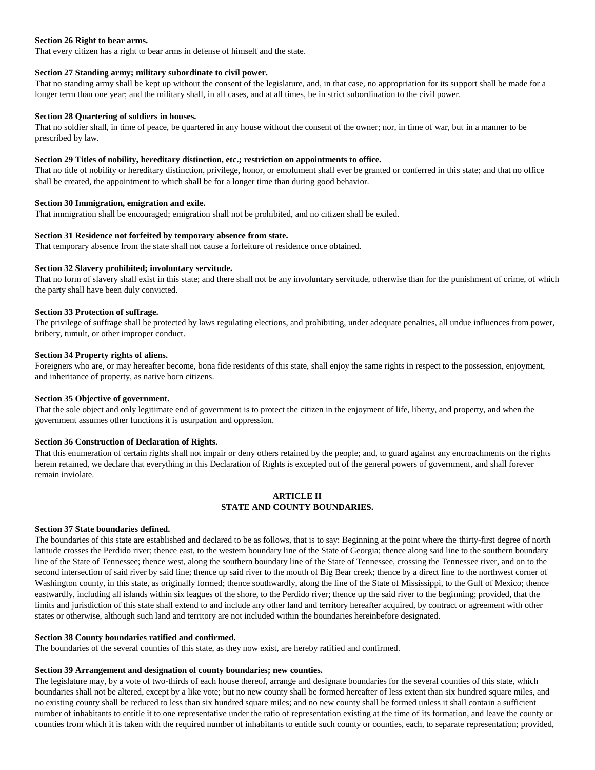## **Section 26 Right to bear arms.**

That every citizen has a right to bear arms in defense of himself and the state.

#### **Section 27 Standing army; military subordinate to civil power.**

That no standing army shall be kept up without the consent of the legislature, and, in that case, no appropriation for its support shall be made for a longer term than one year; and the military shall, in all cases, and at all times, be in strict subordination to the civil power.

#### **Section 28 Quartering of soldiers in houses.**

That no soldier shall, in time of peace, be quartered in any house without the consent of the owner; nor, in time of war, but in a manner to be prescribed by law.

## **Section 29 Titles of nobility, hereditary distinction, etc.; restriction on appointments to office.**

That no title of nobility or hereditary distinction, privilege, honor, or emolument shall ever be granted or conferred in this state; and that no office shall be created, the appointment to which shall be for a longer time than during good behavior.

#### **Section 30 Immigration, emigration and exile.**

That immigration shall be encouraged; emigration shall not be prohibited, and no citizen shall be exiled.

#### **Section 31 Residence not forfeited by temporary absence from state.**

That temporary absence from the state shall not cause a forfeiture of residence once obtained.

#### **Section 32 Slavery prohibited; involuntary servitude.**

That no form of slavery shall exist in this state; and there shall not be any involuntary servitude, otherwise than for the punishment of crime, of which the party shall have been duly convicted.

#### **Section 33 Protection of suffrage.**

The privilege of suffrage shall be protected by laws regulating elections, and prohibiting, under adequate penalties, all undue influences from power, bribery, tumult, or other improper conduct.

#### **Section 34 Property rights of aliens.**

Foreigners who are, or may hereafter become, bona fide residents of this state, shall enjoy the same rights in respect to the possession, enjoyment, and inheritance of property, as native born citizens.

#### **Section 35 Objective of government.**

That the sole object and only legitimate end of government is to protect the citizen in the enjoyment of life, liberty, and property, and when the government assumes other functions it is usurpation and oppression.

#### **Section 36 Construction of Declaration of Rights.**

That this enumeration of certain rights shall not impair or deny others retained by the people; and, to guard against any encroachments on the rights herein retained, we declare that everything in this Declaration of Rights is excepted out of the general powers of government, and shall forever remain inviolate.

# **ARTICLE II STATE AND COUNTY BOUNDARIES.**

#### **Section 37 State boundaries defined.**

The boundaries of this state are established and declared to be as follows, that is to say: Beginning at the point where the thirty-first degree of north latitude crosses the Perdido river; thence east, to the western boundary line of the State of Georgia; thence along said line to the southern boundary line of the State of Tennessee; thence west, along the southern boundary line of the State of Tennessee, crossing the Tennessee river, and on to the second intersection of said river by said line; thence up said river to the mouth of Big Bear creek; thence by a direct line to the northwest corner of Washington county, in this state, as originally formed; thence southwardly, along the line of the State of Mississippi, to the Gulf of Mexico; thence eastwardly, including all islands within six leagues of the shore, to the Perdido river; thence up the said river to the beginning; provided, that the limits and jurisdiction of this state shall extend to and include any other land and territory hereafter acquired, by contract or agreement with other states or otherwise, although such land and territory are not included within the boundaries hereinbefore designated.

#### **Section 38 County boundaries ratified and confirmed.**

The boundaries of the several counties of this state, as they now exist, are hereby ratified and confirmed.

#### **Section 39 Arrangement and designation of county boundaries; new counties.**

The legislature may, by a vote of two-thirds of each house thereof, arrange and designate boundaries for the several counties of this state, which boundaries shall not be altered, except by a like vote; but no new county shall be formed hereafter of less extent than six hundred square miles, and no existing county shall be reduced to less than six hundred square miles; and no new county shall be formed unless it shall contain a sufficient number of inhabitants to entitle it to one representative under the ratio of representation existing at the time of its formation, and leave the county or counties from which it is taken with the required number of inhabitants to entitle such county or counties, each, to separate representation; provided,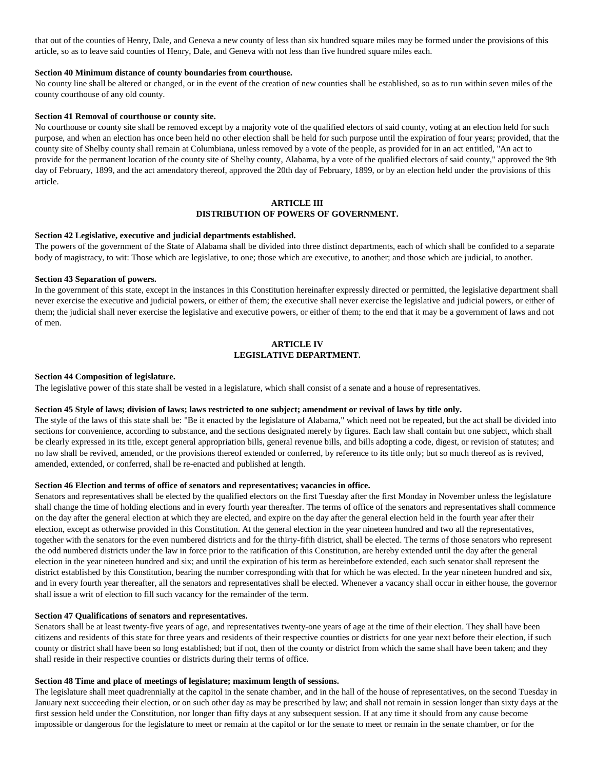that out of the counties of Henry, Dale, and Geneva a new county of less than six hundred square miles may be formed under the provisions of this article, so as to leave said counties of Henry, Dale, and Geneva with not less than five hundred square miles each.

#### **Section 40 Minimum distance of county boundaries from courthouse.**

No county line shall be altered or changed, or in the event of the creation of new counties shall be established, so as to run within seven miles of the county courthouse of any old county.

#### **Section 41 Removal of courthouse or county site.**

No courthouse or county site shall be removed except by a majority vote of the qualified electors of said county, voting at an election held for such purpose, and when an election has once been held no other election shall be held for such purpose until the expiration of four years; provided, that the county site of Shelby county shall remain at Columbiana, unless removed by a vote of the people, as provided for in an act entitled, "An act to provide for the permanent location of the county site of Shelby county, Alabama, by a vote of the qualified electors of said county," approved the 9th day of February, 1899, and the act amendatory thereof, approved the 20th day of February, 1899, or by an election held under the provisions of this article.

## **ARTICLE III DISTRIBUTION OF POWERS OF GOVERNMENT.**

#### **Section 42 Legislative, executive and judicial departments established.**

The powers of the government of the State of Alabama shall be divided into three distinct departments, each of which shall be confided to a separate body of magistracy, to wit: Those which are legislative, to one; those which are executive, to another; and those which are judicial, to another.

#### **Section 43 Separation of powers.**

In the government of this state, except in the instances in this Constitution hereinafter expressly directed or permitted, the legislative department shall never exercise the executive and judicial powers, or either of them; the executive shall never exercise the legislative and judicial powers, or either of them; the judicial shall never exercise the legislative and executive powers, or either of them; to the end that it may be a government of laws and not of men.

# **ARTICLE IV LEGISLATIVE DEPARTMENT.**

#### **Section 44 Composition of legislature.**

The legislative power of this state shall be vested in a legislature, which shall consist of a senate and a house of representatives.

#### **Section 45 Style of laws; division of laws; laws restricted to one subject; amendment or revival of laws by title only.**

The style of the laws of this state shall be: "Be it enacted by the legislature of Alabama," which need not be repeated, but the act shall be divided into sections for convenience, according to substance, and the sections designated merely by figures. Each law shall contain but one subject, which shall be clearly expressed in its title, except general appropriation bills, general revenue bills, and bills adopting a code, digest, or revision of statutes; and no law shall be revived, amended, or the provisions thereof extended or conferred, by reference to its title only; but so much thereof as is revived, amended, extended, or conferred, shall be re-enacted and published at length.

#### **Section 46 Election and terms of office of senators and representatives; vacancies in office.**

Senators and representatives shall be elected by the qualified electors on the first Tuesday after the first Monday in November unless the legislature shall change the time of holding elections and in every fourth year thereafter. The terms of office of the senators and representatives shall commence on the day after the general election at which they are elected, and expire on the day after the general election held in the fourth year after their election, except as otherwise provided in this Constitution. At the general election in the year nineteen hundred and two all the representatives, together with the senators for the even numbered districts and for the thirty-fifth district, shall be elected. The terms of those senators who represent the odd numbered districts under the law in force prior to the ratification of this Constitution, are hereby extended until the day after the general election in the year nineteen hundred and six; and until the expiration of his term as hereinbefore extended, each such senator shall represent the district established by this Constitution, bearing the number corresponding with that for which he was elected. In the year nineteen hundred and six, and in every fourth year thereafter, all the senators and representatives shall be elected. Whenever a vacancy shall occur in either house, the governor shall issue a writ of election to fill such vacancy for the remainder of the term.

## **Section 47 Qualifications of senators and representatives.**

Senators shall be at least twenty-five years of age, and representatives twenty-one years of age at the time of their election. They shall have been citizens and residents of this state for three years and residents of their respective counties or districts for one year next before their election, if such county or district shall have been so long established; but if not, then of the county or district from which the same shall have been taken; and they shall reside in their respective counties or districts during their terms of office.

#### **Section 48 Time and place of meetings of legislature; maximum length of sessions.**

The legislature shall meet quadrennially at the capitol in the senate chamber, and in the hall of the house of representatives, on the second Tuesday in January next succeeding their election, or on such other day as may be prescribed by law; and shall not remain in session longer than sixty days at the first session held under the Constitution, nor longer than fifty days at any subsequent session. If at any time it should from any cause become impossible or dangerous for the legislature to meet or remain at the capitol or for the senate to meet or remain in the senate chamber, or for the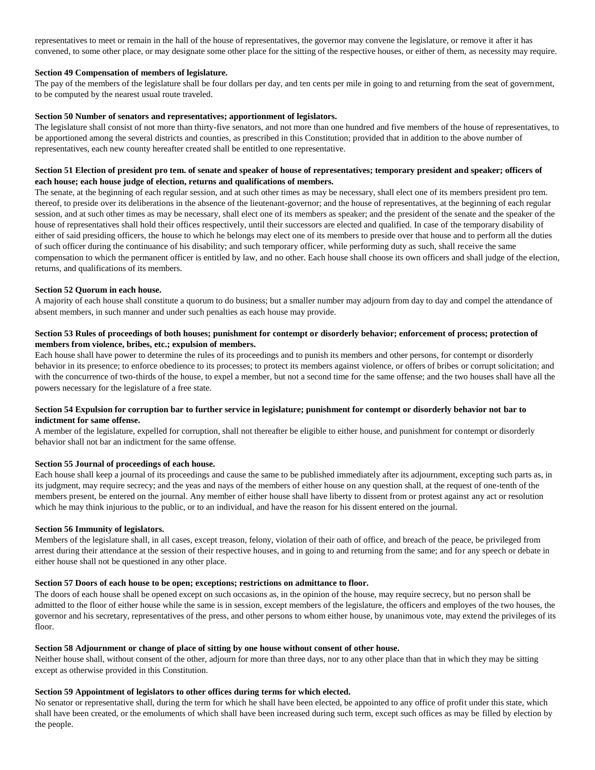representatives to meet or remain in the hall of the house of representatives, the governor may convene the legislature, or remove it after it has convened, to some other place, or may designate some other place for the sitting of the respective houses, or either of them, as necessity may require.

## **Section 49 Compensation of members of legislature.**

The pay of the members of the legislature shall be four dollars per day, and ten cents per mile in going to and returning from the seat of government, to be computed by the nearest usual route traveled.

## **Section 50 Number of senators and representatives; apportionment of legislators.**

The legislature shall consist of not more than thirty-five senators, and not more than one hundred and five members of the house of representatives, to be apportioned among the several districts and counties, as prescribed in this Constitution; provided that in addition to the above number of representatives, each new county hereafter created shall be entitled to one representative.

## **Section 51 Election of president pro tem. of senate and speaker of house of representatives; temporary president and speaker; officers of each house; each house judge of election, returns and qualifications of members.**

The senate, at the beginning of each regular session, and at such other times as may be necessary, shall elect one of its members president pro tem. thereof, to preside over its deliberations in the absence of the lieutenant-governor; and the house of representatives, at the beginning of each regular session, and at such other times as may be necessary, shall elect one of its members as speaker; and the president of the senate and the speaker of the house of representatives shall hold their offices respectively, until their successors are elected and qualified. In case of the temporary disability of either of said presiding officers, the house to which he belongs may elect one of its members to preside over that house and to perform all the duties of such officer during the continuance of his disability; and such temporary officer, while performing duty as such, shall receive the same compensation to which the permanent officer is entitled by law, and no other. Each house shall choose its own officers and shall judge of the election, returns, and qualifications of its members.

## **Section 52 Quorum in each house.**

A majority of each house shall constitute a quorum to do business; but a smaller number may adjourn from day to day and compel the attendance of absent members, in such manner and under such penalties as each house may provide.

# **Section 53 Rules of proceedings of both houses; punishment for contempt or disorderly behavior; enforcement of process; protection of members from violence, bribes, etc.; expulsion of members.**

Each house shall have power to determine the rules of its proceedings and to punish its members and other persons, for contempt or disorderly behavior in its presence; to enforce obedience to its processes; to protect its members against violence, or offers of bribes or corrupt solicitation; and with the concurrence of two-thirds of the house, to expel a member, but not a second time for the same offense; and the two houses shall have all the powers necessary for the legislature of a free state.

# **Section 54 Expulsion for corruption bar to further service in legislature; punishment for contempt or disorderly behavior not bar to indictment for same offense.**

A member of the legislature, expelled for corruption, shall not thereafter be eligible to either house, and punishment for contempt or disorderly behavior shall not bar an indictment for the same offense.

# **Section 55 Journal of proceedings of each house.**

Each house shall keep a journal of its proceedings and cause the same to be published immediately after its adjournment, excepting such parts as, in its judgment, may require secrecy; and the yeas and nays of the members of either house on any question shall, at the request of one-tenth of the members present, be entered on the journal. Any member of either house shall have liberty to dissent from or protest against any act or resolution which he may think injurious to the public, or to an individual, and have the reason for his dissent entered on the journal.

## **Section 56 Immunity of legislators.**

Members of the legislature shall, in all cases, except treason, felony, violation of their oath of office, and breach of the peace, be privileged from arrest during their attendance at the session of their respective houses, and in going to and returning from the same; and for any speech or debate in either house shall not be questioned in any other place.

# **Section 57 Doors of each house to be open; exceptions; restrictions on admittance to floor.**

The doors of each house shall be opened except on such occasions as, in the opinion of the house, may require secrecy, but no person shall be admitted to the floor of either house while the same is in session, except members of the legislature, the officers and employes of the two houses, the governor and his secretary, representatives of the press, and other persons to whom either house, by unanimous vote, may extend the privileges of its floor.

#### **Section 58 Adjournment or change of place of sitting by one house without consent of other house.**

Neither house shall, without consent of the other, adjourn for more than three days, nor to any other place than that in which they may be sitting except as otherwise provided in this Constitution.

# **Section 59 Appointment of legislators to other offices during terms for which elected.**

No senator or representative shall, during the term for which he shall have been elected, be appointed to any office of profit under this state, which shall have been created, or the emoluments of which shall have been increased during such term, except such offices as may be filled by election by the people.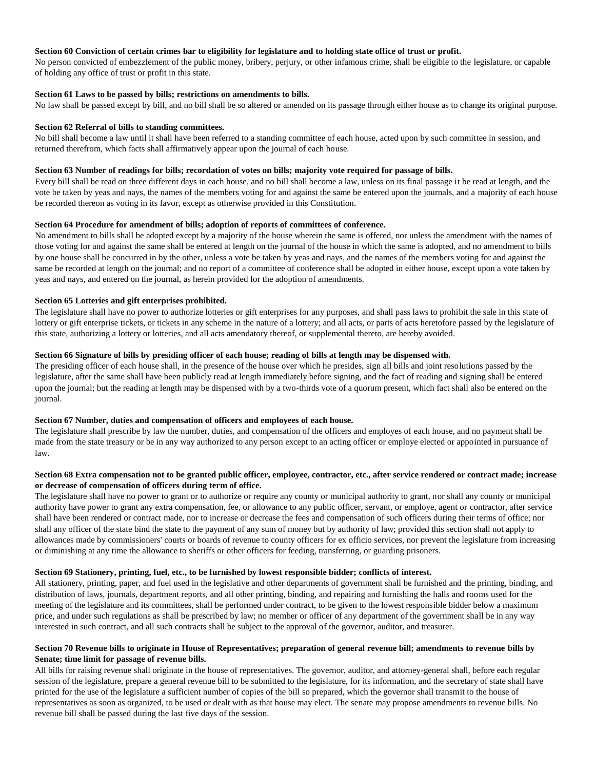## **Section 60 Conviction of certain crimes bar to eligibility for legislature and to holding state office of trust or profit.**

No person convicted of embezzlement of the public money, bribery, perjury, or other infamous crime, shall be eligible to the legislature, or capable of holding any office of trust or profit in this state.

# **Section 61 Laws to be passed by bills; restrictions on amendments to bills.**

No law shall be passed except by bill, and no bill shall be so altered or amended on its passage through either house as to change its original purpose.

## **Section 62 Referral of bills to standing committees.**

No bill shall become a law until it shall have been referred to a standing committee of each house, acted upon by such committee in session, and returned therefrom, which facts shall affirmatively appear upon the journal of each house.

## **Section 63 Number of readings for bills; recordation of votes on bills; majority vote required for passage of bills.**

Every bill shall be read on three different days in each house, and no bill shall become a law, unless on its final passage it be read at length, and the vote be taken by yeas and nays, the names of the members voting for and against the same be entered upon the journals, and a majority of each house be recorded thereon as voting in its favor, except as otherwise provided in this Constitution.

## **Section 64 Procedure for amendment of bills; adoption of reports of committees of conference.**

No amendment to bills shall be adopted except by a majority of the house wherein the same is offered, nor unless the amendment with the names of those voting for and against the same shall be entered at length on the journal of the house in which the same is adopted, and no amendment to bills by one house shall be concurred in by the other, unless a vote be taken by yeas and nays, and the names of the members voting for and against the same be recorded at length on the journal; and no report of a committee of conference shall be adopted in either house, except upon a vote taken by yeas and nays, and entered on the journal, as herein provided for the adoption of amendments.

## **Section 65 Lotteries and gift enterprises prohibited.**

The legislature shall have no power to authorize lotteries or gift enterprises for any purposes, and shall pass laws to prohibit the sale in this state of lottery or gift enterprise tickets, or tickets in any scheme in the nature of a lottery; and all acts, or parts of acts heretofore passed by the legislature of this state, authorizing a lottery or lotteries, and all acts amendatory thereof, or supplemental thereto, are hereby avoided.

## **Section 66 Signature of bills by presiding officer of each house; reading of bills at length may be dispensed with.**

The presiding officer of each house shall, in the presence of the house over which he presides, sign all bills and joint resolutions passed by the legislature, after the same shall have been publicly read at length immediately before signing, and the fact of reading and signing shall be entered upon the journal; but the reading at length may be dispensed with by a two-thirds vote of a quorum present, which fact shall also be entered on the journal.

#### **Section 67 Number, duties and compensation of officers and employees of each house.**

The legislature shall prescribe by law the number, duties, and compensation of the officers and employes of each house, and no payment shall be made from the state treasury or be in any way authorized to any person except to an acting officer or employe elected or appointed in pursuance of law.

# **Section 68 Extra compensation not to be granted public officer, employee, contractor, etc., after service rendered or contract made; increase or decrease of compensation of officers during term of office.**

The legislature shall have no power to grant or to authorize or require any county or municipal authority to grant, nor shall any county or municipal authority have power to grant any extra compensation, fee, or allowance to any public officer, servant, or employe, agent or contractor, after service shall have been rendered or contract made, nor to increase or decrease the fees and compensation of such officers during their terms of office; nor shall any officer of the state bind the state to the payment of any sum of money but by authority of law; provided this section shall not apply to allowances made by commissioners' courts or boards of revenue to county officers for ex officio services, nor prevent the legislature from increasing or diminishing at any time the allowance to sheriffs or other officers for feeding, transferring, or guarding prisoners.

#### **Section 69 Stationery, printing, fuel, etc., to be furnished by lowest responsible bidder; conflicts of interest.**

All stationery, printing, paper, and fuel used in the legislative and other departments of government shall be furnished and the printing, binding, and distribution of laws, journals, department reports, and all other printing, binding, and repairing and furnishing the halls and rooms used for the meeting of the legislature and its committees, shall be performed under contract, to be given to the lowest responsible bidder below a maximum price, and under such regulations as shall be prescribed by law; no member or officer of any department of the government shall be in any way interested in such contract, and all such contracts shall be subject to the approval of the governor, auditor, and treasurer.

# **Section 70 Revenue bills to originate in House of Representatives; preparation of general revenue bill; amendments to revenue bills by Senate; time limit for passage of revenue bills.**

All bills for raising revenue shall originate in the house of representatives. The governor, auditor, and attorney-general shall, before each regular session of the legislature, prepare a general revenue bill to be submitted to the legislature, for its information, and the secretary of state shall have printed for the use of the legislature a sufficient number of copies of the bill so prepared, which the governor shall transmit to the house of representatives as soon as organized, to be used or dealt with as that house may elect. The senate may propose amendments to revenue bills. No revenue bill shall be passed during the last five days of the session.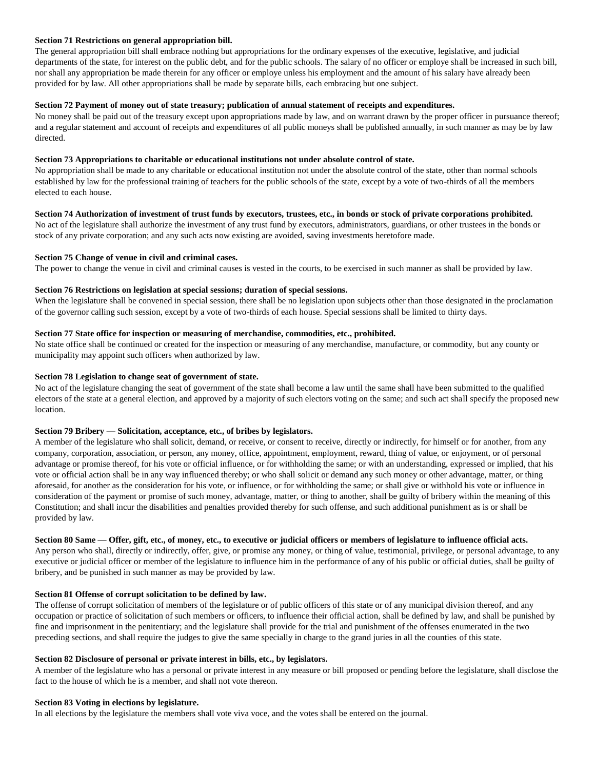## **Section 71 Restrictions on general appropriation bill.**

The general appropriation bill shall embrace nothing but appropriations for the ordinary expenses of the executive, legislative, and judicial departments of the state, for interest on the public debt, and for the public schools. The salary of no officer or employe shall be increased in such bill, nor shall any appropriation be made therein for any officer or employe unless his employment and the amount of his salary have already been provided for by law. All other appropriations shall be made by separate bills, each embracing but one subject.

# **Section 72 Payment of money out of state treasury; publication of annual statement of receipts and expenditures.**

No money shall be paid out of the treasury except upon appropriations made by law, and on warrant drawn by the proper officer in pursuance thereof; and a regular statement and account of receipts and expenditures of all public moneys shall be published annually, in such manner as may be by law directed.

## **Section 73 Appropriations to charitable or educational institutions not under absolute control of state.**

No appropriation shall be made to any charitable or educational institution not under the absolute control of the state, other than normal schools established by law for the professional training of teachers for the public schools of the state, except by a vote of two-thirds of all the members elected to each house.

# **Section 74 Authorization of investment of trust funds by executors, trustees, etc., in bonds or stock of private corporations prohibited.**

No act of the legislature shall authorize the investment of any trust fund by executors, administrators, guardians, or other trustees in the bonds or stock of any private corporation; and any such acts now existing are avoided, saving investments heretofore made.

# **Section 75 Change of venue in civil and criminal cases.**

The power to change the venue in civil and criminal causes is vested in the courts, to be exercised in such manner as shall be provided by law.

## **Section 76 Restrictions on legislation at special sessions; duration of special sessions.**

When the legislature shall be convened in special session, there shall be no legislation upon subjects other than those designated in the proclamation of the governor calling such session, except by a vote of two-thirds of each house. Special sessions shall be limited to thirty days.

## **Section 77 State office for inspection or measuring of merchandise, commodities, etc., prohibited.**

No state office shall be continued or created for the inspection or measuring of any merchandise, manufacture, or commodity, but any county or municipality may appoint such officers when authorized by law.

## **Section 78 Legislation to change seat of government of state.**

No act of the legislature changing the seat of government of the state shall become a law until the same shall have been submitted to the qualified electors of the state at a general election, and approved by a majority of such electors voting on the same; and such act shall specify the proposed new location.

# **Section 79 Bribery — Solicitation, acceptance, etc., of bribes by legislators.**

A member of the legislature who shall solicit, demand, or receive, or consent to receive, directly or indirectly, for himself or for another, from any company, corporation, association, or person, any money, office, appointment, employment, reward, thing of value, or enjoyment, or of personal advantage or promise thereof, for his vote or official influence, or for withholding the same; or with an understanding, expressed or implied, that his vote or official action shall be in any way influenced thereby; or who shall solicit or demand any such money or other advantage, matter, or thing aforesaid, for another as the consideration for his vote, or influence, or for withholding the same; or shall give or withhold his vote or influence in consideration of the payment or promise of such money, advantage, matter, or thing to another, shall be guilty of bribery within the meaning of this Constitution; and shall incur the disabilities and penalties provided thereby for such offense, and such additional punishment as is or shall be provided by law.

## **Section 80 Same — Offer, gift, etc., of money, etc., to executive or judicial officers or members of legislature to influence official acts.**

Any person who shall, directly or indirectly, offer, give, or promise any money, or thing of value, testimonial, privilege, or personal advantage, to any executive or judicial officer or member of the legislature to influence him in the performance of any of his public or official duties, shall be guilty of bribery, and be punished in such manner as may be provided by law.

# **Section 81 Offense of corrupt solicitation to be defined by law.**

The offense of corrupt solicitation of members of the legislature or of public officers of this state or of any municipal division thereof, and any occupation or practice of solicitation of such members or officers, to influence their official action, shall be defined by law, and shall be punished by fine and imprisonment in the penitentiary; and the legislature shall provide for the trial and punishment of the offenses enumerated in the two preceding sections, and shall require the judges to give the same specially in charge to the grand juries in all the counties of this state.

#### **Section 82 Disclosure of personal or private interest in bills, etc., by legislators.**

A member of the legislature who has a personal or private interest in any measure or bill proposed or pending before the legislature, shall disclose the fact to the house of which he is a member, and shall not vote thereon.

#### **Section 83 Voting in elections by legislature.**

In all elections by the legislature the members shall vote viva voce, and the votes shall be entered on the journal.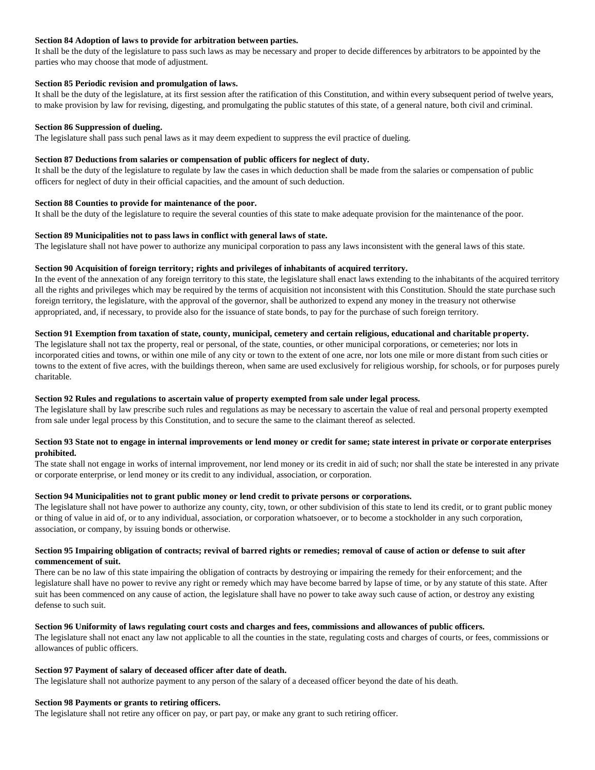## **Section 84 Adoption of laws to provide for arbitration between parties.**

It shall be the duty of the legislature to pass such laws as may be necessary and proper to decide differences by arbitrators to be appointed by the parties who may choose that mode of adjustment.

## **Section 85 Periodic revision and promulgation of laws.**

It shall be the duty of the legislature, at its first session after the ratification of this Constitution, and within every subsequent period of twelve years, to make provision by law for revising, digesting, and promulgating the public statutes of this state, of a general nature, both civil and criminal.

## **Section 86 Suppression of dueling.**

The legislature shall pass such penal laws as it may deem expedient to suppress the evil practice of dueling.

## **Section 87 Deductions from salaries or compensation of public officers for neglect of duty.**

It shall be the duty of the legislature to regulate by law the cases in which deduction shall be made from the salaries or compensation of public officers for neglect of duty in their official capacities, and the amount of such deduction.

## **Section 88 Counties to provide for maintenance of the poor.**

It shall be the duty of the legislature to require the several counties of this state to make adequate provision for the maintenance of the poor.

## **Section 89 Municipalities not to pass laws in conflict with general laws of state.**

The legislature shall not have power to authorize any municipal corporation to pass any laws inconsistent with the general laws of this state.

## **Section 90 Acquisition of foreign territory; rights and privileges of inhabitants of acquired territory.**

In the event of the annexation of any foreign territory to this state, the legislature shall enact laws extending to the inhabitants of the acquired territory all the rights and privileges which may be required by the terms of acquisition not inconsistent with this Constitution. Should the state purchase such foreign territory, the legislature, with the approval of the governor, shall be authorized to expend any money in the treasury not otherwise appropriated, and, if necessary, to provide also for the issuance of state bonds, to pay for the purchase of such foreign territory.

## **Section 91 Exemption from taxation of state, county, municipal, cemetery and certain religious, educational and charitable property.**

The legislature shall not tax the property, real or personal, of the state, counties, or other municipal corporations, or cemeteries; nor lots in incorporated cities and towns, or within one mile of any city or town to the extent of one acre, nor lots one mile or more distant from such cities or towns to the extent of five acres, with the buildings thereon, when same are used exclusively for religious worship, for schools, or for purposes purely charitable.

# **Section 92 Rules and regulations to ascertain value of property exempted from sale under legal process.**

The legislature shall by law prescribe such rules and regulations as may be necessary to ascertain the value of real and personal property exempted from sale under legal process by this Constitution, and to secure the same to the claimant thereof as selected.

## **Section 93 State not to engage in internal improvements or lend money or credit for same; state interest in private or corporate enterprises prohibited.**

The state shall not engage in works of internal improvement, nor lend money or its credit in aid of such; nor shall the state be interested in any private or corporate enterprise, or lend money or its credit to any individual, association, or corporation.

## **Section 94 Municipalities not to grant public money or lend credit to private persons or corporations.**

The legislature shall not have power to authorize any county, city, town, or other subdivision of this state to lend its credit, or to grant public money or thing of value in aid of, or to any individual, association, or corporation whatsoever, or to become a stockholder in any such corporation, association, or company, by issuing bonds or otherwise.

## **Section 95 Impairing obligation of contracts; revival of barred rights or remedies; removal of cause of action or defense to suit after commencement of suit.**

There can be no law of this state impairing the obligation of contracts by destroying or impairing the remedy for their enforcement; and the legislature shall have no power to revive any right or remedy which may have become barred by lapse of time, or by any statute of this state. After suit has been commenced on any cause of action, the legislature shall have no power to take away such cause of action, or destroy any existing defense to such suit.

#### **Section 96 Uniformity of laws regulating court costs and charges and fees, commissions and allowances of public officers.**

The legislature shall not enact any law not applicable to all the counties in the state, regulating costs and charges of courts, or fees, commissions or allowances of public officers.

## **Section 97 Payment of salary of deceased officer after date of death.**

The legislature shall not authorize payment to any person of the salary of a deceased officer beyond the date of his death.

#### **Section 98 Payments or grants to retiring officers.**

The legislature shall not retire any officer on pay, or part pay, or make any grant to such retiring officer.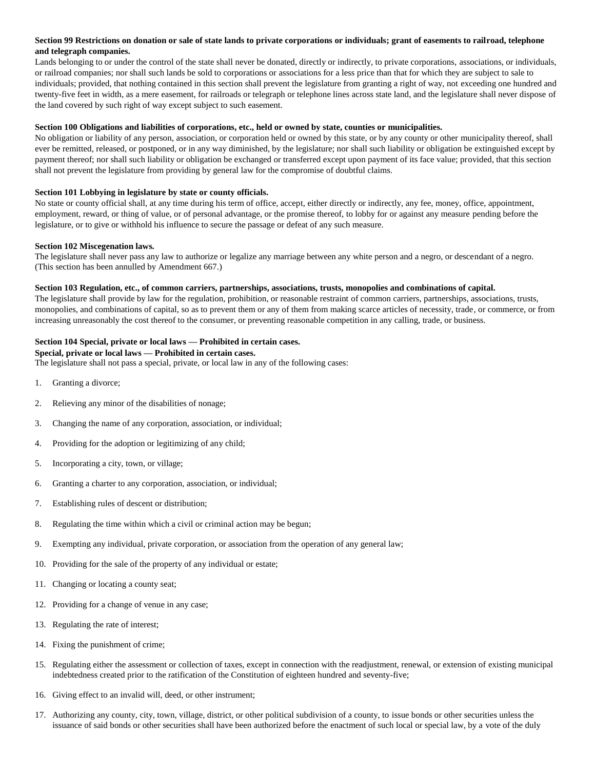# **Section 99 Restrictions on donation or sale of state lands to private corporations or individuals; grant of easements to railroad, telephone and telegraph companies.**

Lands belonging to or under the control of the state shall never be donated, directly or indirectly, to private corporations, associations, or individuals, or railroad companies; nor shall such lands be sold to corporations or associations for a less price than that for which they are subject to sale to individuals; provided, that nothing contained in this section shall prevent the legislature from granting a right of way, not exceeding one hundred and twenty-five feet in width, as a mere easement, for railroads or telegraph or telephone lines across state land, and the legislature shall never dispose of the land covered by such right of way except subject to such easement.

## **Section 100 Obligations and liabilities of corporations, etc., held or owned by state, counties or municipalities.**

No obligation or liability of any person, association, or corporation held or owned by this state, or by any county or other municipality thereof, shall ever be remitted, released, or postponed, or in any way diminished, by the legislature; nor shall such liability or obligation be extinguished except by payment thereof; nor shall such liability or obligation be exchanged or transferred except upon payment of its face value; provided, that this section shall not prevent the legislature from providing by general law for the compromise of doubtful claims.

## **Section 101 Lobbying in legislature by state or county officials.**

No state or county official shall, at any time during his term of office, accept, either directly or indirectly, any fee, money, office, appointment, employment, reward, or thing of value, or of personal advantage, or the promise thereof, to lobby for or against any measure pending before the legislature, or to give or withhold his influence to secure the passage or defeat of any such measure.

## **Section 102 Miscegenation laws.**

The legislature shall never pass any law to authorize or legalize any marriage between any white person and a negro, or descendant of a negro. (This section has been annulled by Amendment 667.)

## **Section 103 Regulation, etc., of common carriers, partnerships, associations, trusts, monopolies and combinations of capital.**

The legislature shall provide by law for the regulation, prohibition, or reasonable restraint of common carriers, partnerships, associations, trusts, monopolies, and combinations of capital, so as to prevent them or any of them from making scarce articles of necessity, trade, or commerce, or from increasing unreasonably the cost thereof to the consumer, or preventing reasonable competition in any calling, trade, or business.

## **Section 104 Special, private or local laws — Prohibited in certain cases.**

# **Special, private or local laws — Prohibited in certain cases.**

The legislature shall not pass a special, private, or local law in any of the following cases:

- 1. Granting a divorce;
- 2. Relieving any minor of the disabilities of nonage;
- 3. Changing the name of any corporation, association, or individual;
- 4. Providing for the adoption or legitimizing of any child;
- 5. Incorporating a city, town, or village;
- 6. Granting a charter to any corporation, association, or individual;
- 7. Establishing rules of descent or distribution;
- 8. Regulating the time within which a civil or criminal action may be begun;
- 9. Exempting any individual, private corporation, or association from the operation of any general law;
- 10. Providing for the sale of the property of any individual or estate;
- 11. Changing or locating a county seat;
- 12. Providing for a change of venue in any case;
- 13. Regulating the rate of interest;
- 14. Fixing the punishment of crime;
- 15. Regulating either the assessment or collection of taxes, except in connection with the readjustment, renewal, or extension of existing municipal indebtedness created prior to the ratification of the Constitution of eighteen hundred and seventy-five;
- 16. Giving effect to an invalid will, deed, or other instrument;
- 17. Authorizing any county, city, town, village, district, or other political subdivision of a county, to issue bonds or other securities unless the issuance of said bonds or other securities shall have been authorized before the enactment of such local or special law, by a vote of the duly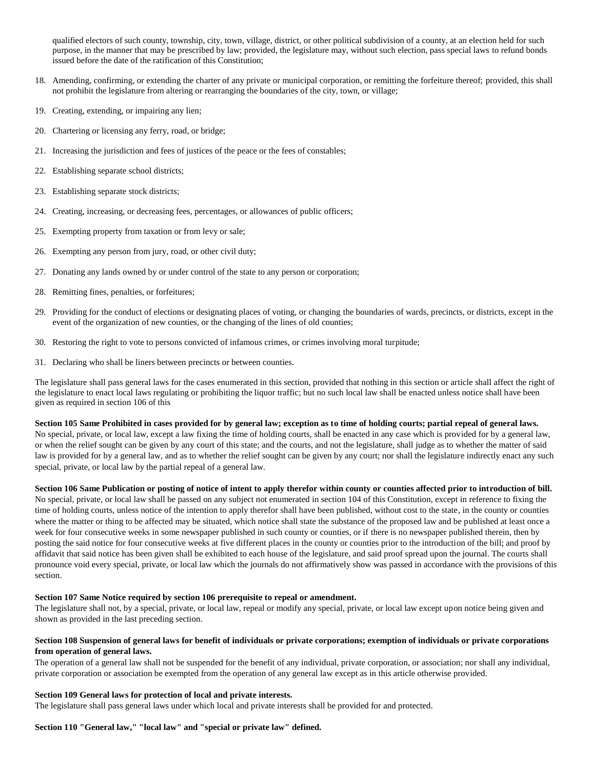qualified electors of such county, township, city, town, village, district, or other political subdivision of a county, at an election held for such purpose, in the manner that may be prescribed by law; provided, the legislature may, without such election, pass special laws to refund bonds issued before the date of the ratification of this Constitution;

- 18. Amending, confirming, or extending the charter of any private or municipal corporation, or remitting the forfeiture thereof; provided, this shall not prohibit the legislature from altering or rearranging the boundaries of the city, town, or village;
- 19. Creating, extending, or impairing any lien;
- 20. Chartering or licensing any ferry, road, or bridge;
- 21. Increasing the jurisdiction and fees of justices of the peace or the fees of constables;
- 22. Establishing separate school districts;
- 23. Establishing separate stock districts;
- 24. Creating, increasing, or decreasing fees, percentages, or allowances of public officers;
- 25. Exempting property from taxation or from levy or sale;
- 26. Exempting any person from jury, road, or other civil duty;
- 27. Donating any lands owned by or under control of the state to any person or corporation;
- 28. Remitting fines, penalties, or forfeitures;
- 29. Providing for the conduct of elections or designating places of voting, or changing the boundaries of wards, precincts, or districts, except in the event of the organization of new counties, or the changing of the lines of old counties;
- 30. Restoring the right to vote to persons convicted of infamous crimes, or crimes involving moral turpitude;
- 31. Declaring who shall be liners between precincts or between counties.

The legislature shall pass general laws for the cases enumerated in this section, provided that nothing in this section or article shall affect the right of the legislature to enact local laws regulating or prohibiting the liquor traffic; but no such local law shall be enacted unless notice shall have been given as required in section 106 of this

#### **Section 105 Same Prohibited in cases provided for by general law; exception as to time of holding courts; partial repeal of general laws.**

No special, private, or local law, except a law fixing the time of holding courts, shall be enacted in any case which is provided for by a general law, or when the relief sought can be given by any court of this state; and the courts, and not the legislature, shall judge as to whether the matter of said law is provided for by a general law, and as to whether the relief sought can be given by any court; nor shall the legislature indirectly enact any such special, private, or local law by the partial repeal of a general law.

#### **Section 106 Same Publication or posting of notice of intent to apply therefor within county or counties affected prior to introduction of bill.**

No special, private, or local law shall be passed on any subject not enumerated in section 104 of this Constitution, except in reference to fixing the time of holding courts, unless notice of the intention to apply therefor shall have been published, without cost to the state, in the county or counties where the matter or thing to be affected may be situated, which notice shall state the substance of the proposed law and be published at least once a week for four consecutive weeks in some newspaper published in such county or counties, or if there is no newspaper published therein, then by posting the said notice for four consecutive weeks at five different places in the county or counties prior to the introduction of the bill; and proof by affidavit that said notice has been given shall be exhibited to each house of the legislature, and said proof spread upon the journal. The courts shall pronounce void every special, private, or local law which the journals do not affirmatively show was passed in accordance with the provisions of this section.

#### **Section 107 Same Notice required by section 106 prerequisite to repeal or amendment.**

The legislature shall not, by a special, private, or local law, repeal or modify any special, private, or local law except upon notice being given and shown as provided in the last preceding section.

#### **Section 108 Suspension of general laws for benefit of individuals or private corporations; exemption of individuals or private corporations from operation of general laws.**

The operation of a general law shall not be suspended for the benefit of any individual, private corporation, or association; nor shall any individual, private corporation or association be exempted from the operation of any general law except as in this article otherwise provided.

#### **Section 109 General laws for protection of local and private interests.**

The legislature shall pass general laws under which local and private interests shall be provided for and protected.

# **Section 110 "General law," "local law" and "special or private law" defined.**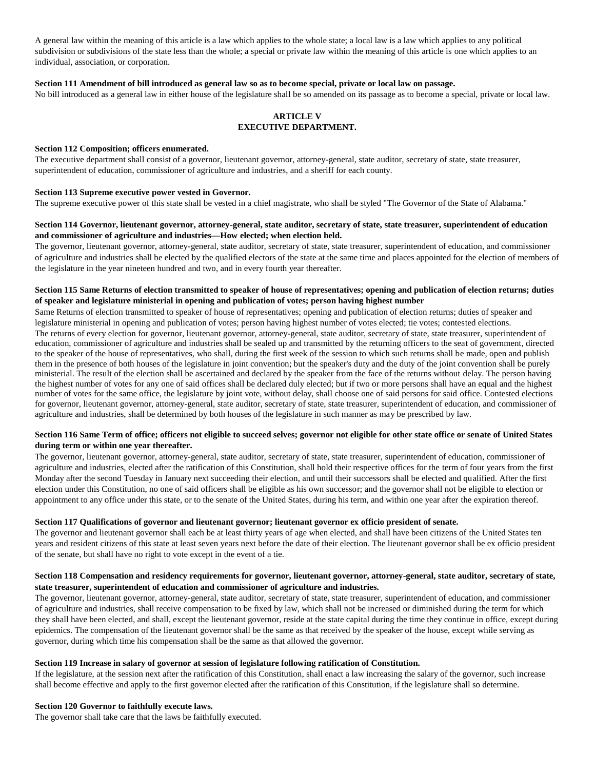A general law within the meaning of this article is a law which applies to the whole state; a local law is a law which applies to any political subdivision or subdivisions of the state less than the whole; a special or private law within the meaning of this article is one which applies to an individual, association, or corporation.

## **Section 111 Amendment of bill introduced as general law so as to become special, private or local law on passage.**

No bill introduced as a general law in either house of the legislature shall be so amended on its passage as to become a special, private or local law.

## **ARTICLE V EXECUTIVE DEPARTMENT.**

#### **Section 112 Composition; officers enumerated.**

The executive department shall consist of a governor, lieutenant governor, attorney-general, state auditor, secretary of state, state treasurer, superintendent of education, commissioner of agriculture and industries, and a sheriff for each county.

## **Section 113 Supreme executive power vested in Governor.**

The supreme executive power of this state shall be vested in a chief magistrate, who shall be styled "The Governor of the State of Alabama."

## **Section 114 Governor, lieutenant governor, attorney-general, state auditor, secretary of state, state treasurer, superintendent of education and commissioner of agriculture and industries—How elected; when election held.**

The governor, lieutenant governor, attorney-general, state auditor, secretary of state, state treasurer, superintendent of education, and commissioner of agriculture and industries shall be elected by the qualified electors of the state at the same time and places appointed for the election of members of the legislature in the year nineteen hundred and two, and in every fourth year thereafter.

## **Section 115 Same Returns of election transmitted to speaker of house of representatives; opening and publication of election returns; duties of speaker and legislature ministerial in opening and publication of votes; person having highest number**

Same Returns of election transmitted to speaker of house of representatives; opening and publication of election returns; duties of speaker and legislature ministerial in opening and publication of votes; person having highest number of votes elected; tie votes; contested elections. The returns of every election for governor, lieutenant governor, attorney-general, state auditor, secretary of state, state treasurer, superintendent of education, commissioner of agriculture and industries shall be sealed up and transmitted by the returning officers to the seat of government, directed to the speaker of the house of representatives, who shall, during the first week of the session to which such returns shall be made, open and publish them in the presence of both houses of the legislature in joint convention; but the speaker's duty and the duty of the joint convention shall be purely ministerial. The result of the election shall be ascertained and declared by the speaker from the face of the returns without delay. The person having the highest number of votes for any one of said offices shall be declared duly elected; but if two or more persons shall have an equal and the highest number of votes for the same office, the legislature by joint vote, without delay, shall choose one of said persons for said office. Contested elections for governor, lieutenant governor, attorney-general, state auditor, secretary of state, state treasurer, superintendent of education, and commissioner of agriculture and industries, shall be determined by both houses of the legislature in such manner as may be prescribed by law.

## **Section 116 Same Term of office; officers not eligible to succeed selves; governor not eligible for other state office or senate of United States during term or within one year thereafter.**

The governor, lieutenant governor, attorney-general, state auditor, secretary of state, state treasurer, superintendent of education, commissioner of agriculture and industries, elected after the ratification of this Constitution, shall hold their respective offices for the term of four years from the first Monday after the second Tuesday in January next succeeding their election, and until their successors shall be elected and qualified. After the first election under this Constitution, no one of said officers shall be eligible as his own successor; and the governor shall not be eligible to election or appointment to any office under this state, or to the senate of the United States, during his term, and within one year after the expiration thereof.

#### **Section 117 Qualifications of governor and lieutenant governor; lieutenant governor ex officio president of senate.**

The governor and lieutenant governor shall each be at least thirty years of age when elected, and shall have been citizens of the United States ten years and resident citizens of this state at least seven years next before the date of their election. The lieutenant governor shall be ex officio president of the senate, but shall have no right to vote except in the event of a tie.

# **Section 118 Compensation and residency requirements for governor, lieutenant governor, attorney-general, state auditor, secretary of state, state treasurer, superintendent of education and commissioner of agriculture and industries.**

The governor, lieutenant governor, attorney-general, state auditor, secretary of state, state treasurer, superintendent of education, and commissioner of agriculture and industries, shall receive compensation to be fixed by law, which shall not be increased or diminished during the term for which they shall have been elected, and shall, except the lieutenant governor, reside at the state capital during the time they continue in office, except during epidemics. The compensation of the lieutenant governor shall be the same as that received by the speaker of the house, except while serving as governor, during which time his compensation shall be the same as that allowed the governor.

## **Section 119 Increase in salary of governor at session of legislature following ratification of Constitution.**

If the legislature, at the session next after the ratification of this Constitution, shall enact a law increasing the salary of the governor, such increase shall become effective and apply to the first governor elected after the ratification of this Constitution, if the legislature shall so determine.

## **Section 120 Governor to faithfully execute laws.**

The governor shall take care that the laws be faithfully executed.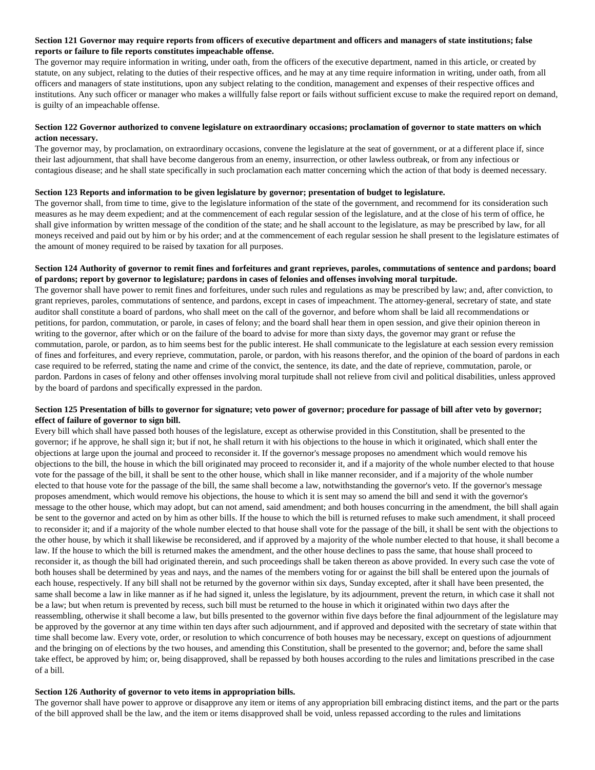## **Section 121 Governor may require reports from officers of executive department and officers and managers of state institutions; false reports or failure to file reports constitutes impeachable offense.**

The governor may require information in writing, under oath, from the officers of the executive department, named in this article, or created by statute, on any subject, relating to the duties of their respective offices, and he may at any time require information in writing, under oath, from all officers and managers of state institutions, upon any subject relating to the condition, management and expenses of their respective offices and institutions. Any such officer or manager who makes a willfully false report or fails without sufficient excuse to make the required report on demand, is guilty of an impeachable offense.

# **Section 122 Governor authorized to convene legislature on extraordinary occasions; proclamation of governor to state matters on which action necessary.**

The governor may, by proclamation, on extraordinary occasions, convene the legislature at the seat of government, or at a different place if, since their last adjournment, that shall have become dangerous from an enemy, insurrection, or other lawless outbreak, or from any infectious or contagious disease; and he shall state specifically in such proclamation each matter concerning which the action of that body is deemed necessary.

## **Section 123 Reports and information to be given legislature by governor; presentation of budget to legislature.**

The governor shall, from time to time, give to the legislature information of the state of the government, and recommend for its consideration such measures as he may deem expedient; and at the commencement of each regular session of the legislature, and at the close of his term of office, he shall give information by written message of the condition of the state; and he shall account to the legislature, as may be prescribed by law, for all moneys received and paid out by him or by his order; and at the commencement of each regular session he shall present to the legislature estimates of the amount of money required to be raised by taxation for all purposes.

# **Section 124 Authority of governor to remit fines and forfeitures and grant reprieves, paroles, commutations of sentence and pardons; board of pardons; report by governor to legislature; pardons in cases of felonies and offenses involving moral turpitude.**

The governor shall have power to remit fines and forfeitures, under such rules and regulations as may be prescribed by law; and, after conviction, to grant reprieves, paroles, commutations of sentence, and pardons, except in cases of impeachment. The attorney-general, secretary of state, and state auditor shall constitute a board of pardons, who shall meet on the call of the governor, and before whom shall be laid all recommendations or petitions, for pardon, commutation, or parole, in cases of felony; and the board shall hear them in open session, and give their opinion thereon in writing to the governor, after which or on the failure of the board to advise for more than sixty days, the governor may grant or refuse the commutation, parole, or pardon, as to him seems best for the public interest. He shall communicate to the legislature at each session every remission of fines and forfeitures, and every reprieve, commutation, parole, or pardon, with his reasons therefor, and the opinion of the board of pardons in each case required to be referred, stating the name and crime of the convict, the sentence, its date, and the date of reprieve, commutation, parole, or pardon. Pardons in cases of felony and other offenses involving moral turpitude shall not relieve from civil and political disabilities, unless approved by the board of pardons and specifically expressed in the pardon.

# **Section 125 Presentation of bills to governor for signature; veto power of governor; procedure for passage of bill after veto by governor; effect of failure of governor to sign bill.**

Every bill which shall have passed both houses of the legislature, except as otherwise provided in this Constitution, shall be presented to the governor; if he approve, he shall sign it; but if not, he shall return it with his objections to the house in which it originated, which shall enter the objections at large upon the journal and proceed to reconsider it. If the governor's message proposes no amendment which would remove his objections to the bill, the house in which the bill originated may proceed to reconsider it, and if a majority of the whole number elected to that house vote for the passage of the bill, it shall be sent to the other house, which shall in like manner reconsider, and if a majority of the whole number elected to that house vote for the passage of the bill, the same shall become a law, notwithstanding the governor's veto. If the governor's message proposes amendment, which would remove his objections, the house to which it is sent may so amend the bill and send it with the governor's message to the other house, which may adopt, but can not amend, said amendment; and both houses concurring in the amendment, the bill shall again be sent to the governor and acted on by him as other bills. If the house to which the bill is returned refuses to make such amendment, it shall proceed to reconsider it; and if a majority of the whole number elected to that house shall vote for the passage of the bill, it shall be sent with the objections to the other house, by which it shall likewise be reconsidered, and if approved by a majority of the whole number elected to that house, it shall become a law. If the house to which the bill is returned makes the amendment, and the other house declines to pass the same, that house shall proceed to reconsider it, as though the bill had originated therein, and such proceedings shall be taken thereon as above provided. In every such case the vote of both houses shall be determined by yeas and nays, and the names of the members voting for or against the bill shall be entered upon the journals of each house, respectively. If any bill shall not be returned by the governor within six days, Sunday excepted, after it shall have been presented, the same shall become a law in like manner as if he had signed it, unless the legislature, by its adjournment, prevent the return, in which case it shall not be a law; but when return is prevented by recess, such bill must be returned to the house in which it originated within two days after the reassembling, otherwise it shall become a law, but bills presented to the governor within five days before the final adjournment of the legislature may be approved by the governor at any time within ten days after such adjournment, and if approved and deposited with the secretary of state within that time shall become law. Every vote, order, or resolution to which concurrence of both houses may be necessary, except on questions of adjournment and the bringing on of elections by the two houses, and amending this Constitution, shall be presented to the governor; and, before the same shall take effect, be approved by him; or, being disapproved, shall be repassed by both houses according to the rules and limitations prescribed in the case of a bill.

# **Section 126 Authority of governor to veto items in appropriation bills.**

The governor shall have power to approve or disapprove any item or items of any appropriation bill embracing distinct items, and the part or the parts of the bill approved shall be the law, and the item or items disapproved shall be void, unless repassed according to the rules and limitations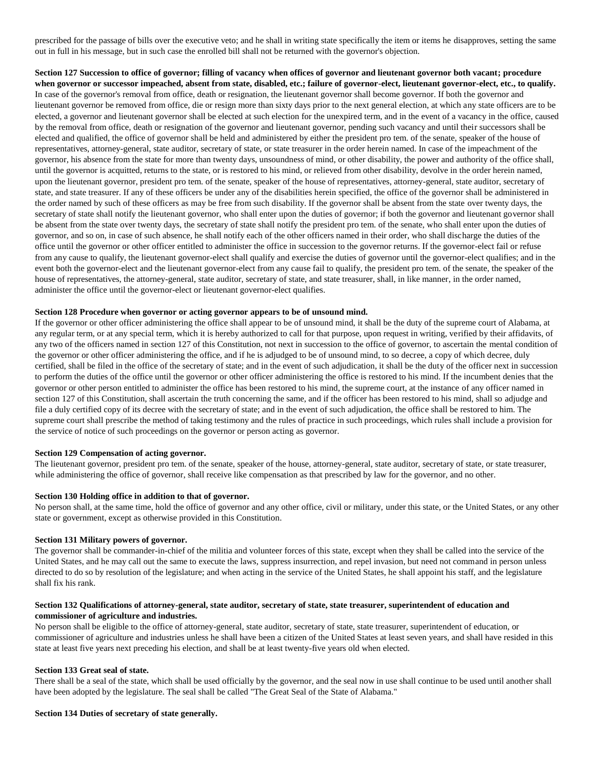prescribed for the passage of bills over the executive veto; and he shall in writing state specifically the item or items he disapproves, setting the same out in full in his message, but in such case the enrolled bill shall not be returned with the governor's objection.

**Section 127 Succession to office of governor; filling of vacancy when offices of governor and lieutenant governor both vacant; procedure when governor or successor impeached, absent from state, disabled, etc.; failure of governor-elect, lieutenant governor-elect, etc., to qualify.** In case of the governor's removal from office, death or resignation, the lieutenant governor shall become governor. If both the governor and lieutenant governor be removed from office, die or resign more than sixty days prior to the next general election, at which any state officers are to be elected, a governor and lieutenant governor shall be elected at such election for the unexpired term, and in the event of a vacancy in the office, caused by the removal from office, death or resignation of the governor and lieutenant governor, pending such vacancy and until their successors shall be elected and qualified, the office of governor shall be held and administered by either the president pro tem. of the senate, speaker of the house of representatives, attorney-general, state auditor, secretary of state, or state treasurer in the order herein named. In case of the impeachment of the governor, his absence from the state for more than twenty days, unsoundness of mind, or other disability, the power and authority of the office shall, until the governor is acquitted, returns to the state, or is restored to his mind, or relieved from other disability, devolve in the order herein named, upon the lieutenant governor, president pro tem. of the senate, speaker of the house of representatives, attorney-general, state auditor, secretary of state, and state treasurer. If any of these officers be under any of the disabilities herein specified, the office of the governor shall be administered in the order named by such of these officers as may be free from such disability. If the governor shall be absent from the state over twenty days, the secretary of state shall notify the lieutenant governor, who shall enter upon the duties of governor; if both the governor and lieutenant governor shall be absent from the state over twenty days, the secretary of state shall notify the president pro tem. of the senate, who shall enter upon the duties of governor, and so on, in case of such absence, he shall notify each of the other officers named in their order, who shall discharge the duties of the office until the governor or other officer entitled to administer the office in succession to the governor returns. If the governor-elect fail or refuse from any cause to qualify, the lieutenant governor-elect shall qualify and exercise the duties of governor until the governor-elect qualifies; and in the event both the governor-elect and the lieutenant governor-elect from any cause fail to qualify, the president pro tem. of the senate, the speaker of the house of representatives, the attorney-general, state auditor, secretary of state, and state treasurer, shall, in like manner, in the order named, administer the office until the governor-elect or lieutenant governor-elect qualifies.

#### **Section 128 Procedure when governor or acting governor appears to be of unsound mind.**

If the governor or other officer administering the office shall appear to be of unsound mind, it shall be the duty of the supreme court of Alabama, at any regular term, or at any special term, which it is hereby authorized to call for that purpose, upon request in writing, verified by their affidavits, of any two of the officers named in section 127 of this Constitution, not next in succession to the office of governor, to ascertain the mental condition of the governor or other officer administering the office, and if he is adjudged to be of unsound mind, to so decree, a copy of which decree, duly certified, shall be filed in the office of the secretary of state; and in the event of such adjudication, it shall be the duty of the officer next in succession to perform the duties of the office until the governor or other officer administering the office is restored to his mind. If the incumbent denies that the governor or other person entitled to administer the office has been restored to his mind, the supreme court, at the instance of any officer named in section 127 of this Constitution, shall ascertain the truth concerning the same, and if the officer has been restored to his mind, shall so adjudge and file a duly certified copy of its decree with the secretary of state; and in the event of such adjudication, the office shall be restored to him. The supreme court shall prescribe the method of taking testimony and the rules of practice in such proceedings, which rules shall include a provision for the service of notice of such proceedings on the governor or person acting as governor.

#### **Section 129 Compensation of acting governor.**

The lieutenant governor, president pro tem. of the senate, speaker of the house, attorney-general, state auditor, secretary of state, or state treasurer, while administering the office of governor, shall receive like compensation as that prescribed by law for the governor, and no other.

#### **Section 130 Holding office in addition to that of governor.**

No person shall, at the same time, hold the office of governor and any other office, civil or military, under this state, or the United States, or any other state or government, except as otherwise provided in this Constitution.

## **Section 131 Military powers of governor.**

The governor shall be commander-in-chief of the militia and volunteer forces of this state, except when they shall be called into the service of the United States, and he may call out the same to execute the laws, suppress insurrection, and repel invasion, but need not command in person unless directed to do so by resolution of the legislature; and when acting in the service of the United States, he shall appoint his staff, and the legislature shall fix his rank.

## **Section 132 Qualifications of attorney-general, state auditor, secretary of state, state treasurer, superintendent of education and commissioner of agriculture and industries.**

No person shall be eligible to the office of attorney-general, state auditor, secretary of state, state treasurer, superintendent of education, or commissioner of agriculture and industries unless he shall have been a citizen of the United States at least seven years, and shall have resided in this state at least five years next preceding his election, and shall be at least twenty-five years old when elected.

#### **Section 133 Great seal of state.**

There shall be a seal of the state, which shall be used officially by the governor, and the seal now in use shall continue to be used until another shall have been adopted by the legislature. The seal shall be called "The Great Seal of the State of Alabama."

#### **Section 134 Duties of secretary of state generally.**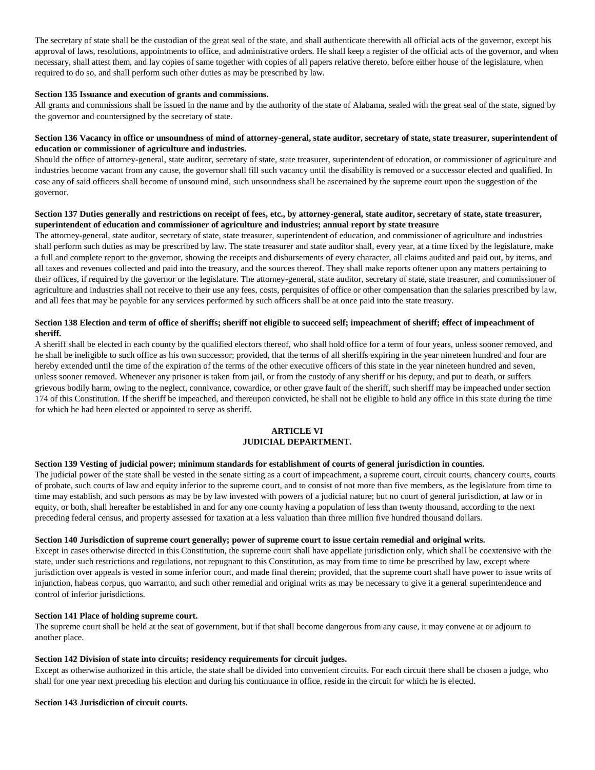The secretary of state shall be the custodian of the great seal of the state, and shall authenticate therewith all official acts of the governor, except his approval of laws, resolutions, appointments to office, and administrative orders. He shall keep a register of the official acts of the governor, and when necessary, shall attest them, and lay copies of same together with copies of all papers relative thereto, before either house of the legislature, when required to do so, and shall perform such other duties as may be prescribed by law.

## **Section 135 Issuance and execution of grants and commissions.**

All grants and commissions shall be issued in the name and by the authority of the state of Alabama, sealed with the great seal of the state, signed by the governor and countersigned by the secretary of state.

# **Section 136 Vacancy in office or unsoundness of mind of attorney-general, state auditor, secretary of state, state treasurer, superintendent of education or commissioner of agriculture and industries.**

Should the office of attorney-general, state auditor, secretary of state, state treasurer, superintendent of education, or commissioner of agriculture and industries become vacant from any cause, the governor shall fill such vacancy until the disability is removed or a successor elected and qualified. In case any of said officers shall become of unsound mind, such unsoundness shall be ascertained by the supreme court upon the suggestion of the governor.

# **Section 137 Duties generally and restrictions on receipt of fees, etc., by attorney-general, state auditor, secretary of state, state treasurer, superintendent of education and commissioner of agriculture and industries; annual report by state treasure**

The attorney-general, state auditor, secretary of state, state treasurer, superintendent of education, and commissioner of agriculture and industries shall perform such duties as may be prescribed by law. The state treasurer and state auditor shall, every year, at a time fixed by the legislature, make a full and complete report to the governor, showing the receipts and disbursements of every character, all claims audited and paid out, by items, and all taxes and revenues collected and paid into the treasury, and the sources thereof. They shall make reports oftener upon any matters pertaining to their offices, if required by the governor or the legislature. The attorney-general, state auditor, secretary of state, state treasurer, and commissioner of agriculture and industries shall not receive to their use any fees, costs, perquisites of office or other compensation than the salaries prescribed by law, and all fees that may be payable for any services performed by such officers shall be at once paid into the state treasury.

# **Section 138 Election and term of office of sheriffs; sheriff not eligible to succeed self; impeachment of sheriff; effect of impeachment of sheriff.**

A sheriff shall be elected in each county by the qualified electors thereof, who shall hold office for a term of four years, unless sooner removed, and he shall be ineligible to such office as his own successor; provided, that the terms of all sheriffs expiring in the year nineteen hundred and four are hereby extended until the time of the expiration of the terms of the other executive officers of this state in the year nineteen hundred and seven, unless sooner removed. Whenever any prisoner is taken from jail, or from the custody of any sheriff or his deputy, and put to death, or suffers grievous bodily harm, owing to the neglect, connivance, cowardice, or other grave fault of the sheriff, such sheriff may be impeached under section 174 of this Constitution. If the sheriff be impeached, and thereupon convicted, he shall not be eligible to hold any office in this state during the time for which he had been elected or appointed to serve as sheriff.

# **ARTICLE VI JUDICIAL DEPARTMENT.**

# **Section 139 Vesting of judicial power; minimum standards for establishment of courts of general jurisdiction in counties.**

The judicial power of the state shall be vested in the senate sitting as a court of impeachment, a supreme court, circuit courts, chancery courts, courts of probate, such courts of law and equity inferior to the supreme court, and to consist of not more than five members, as the legislature from time to time may establish, and such persons as may be by law invested with powers of a judicial nature; but no court of general jurisdiction, at law or in equity, or both, shall hereafter be established in and for any one county having a population of less than twenty thousand, according to the next preceding federal census, and property assessed for taxation at a less valuation than three million five hundred thousand dollars.

## **Section 140 Jurisdiction of supreme court generally; power of supreme court to issue certain remedial and original writs.**

Except in cases otherwise directed in this Constitution, the supreme court shall have appellate jurisdiction only, which shall be coextensive with the state, under such restrictions and regulations, not repugnant to this Constitution, as may from time to time be prescribed by law, except where jurisdiction over appeals is vested in some inferior court, and made final therein; provided, that the supreme court shall have power to issue writs of injunction, habeas corpus, quo warranto, and such other remedial and original writs as may be necessary to give it a general superintendence and control of inferior jurisdictions.

## **Section 141 Place of holding supreme court.**

The supreme court shall be held at the seat of government, but if that shall become dangerous from any cause, it may convene at or adjourn to another place.

#### **Section 142 Division of state into circuits; residency requirements for circuit judges.**

Except as otherwise authorized in this article, the state shall be divided into convenient circuits. For each circuit there shall be chosen a judge, who shall for one year next preceding his election and during his continuance in office, reside in the circuit for which he is elected.

#### **Section 143 Jurisdiction of circuit courts.**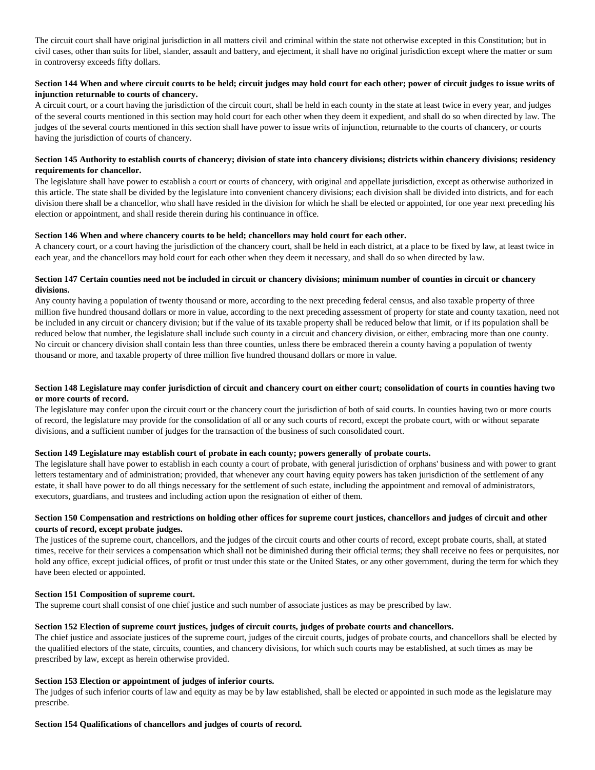The circuit court shall have original jurisdiction in all matters civil and criminal within the state not otherwise excepted in this Constitution; but in civil cases, other than suits for libel, slander, assault and battery, and ejectment, it shall have no original jurisdiction except where the matter or sum in controversy exceeds fifty dollars.

# **Section 144 When and where circuit courts to be held; circuit judges may hold court for each other; power of circuit judges to issue writs of injunction returnable to courts of chancery.**

A circuit court, or a court having the jurisdiction of the circuit court, shall be held in each county in the state at least twice in every year, and judges of the several courts mentioned in this section may hold court for each other when they deem it expedient, and shall do so when directed by law. The judges of the several courts mentioned in this section shall have power to issue writs of injunction, returnable to the courts of chancery, or courts having the jurisdiction of courts of chancery.

# **Section 145 Authority to establish courts of chancery; division of state into chancery divisions; districts within chancery divisions; residency requirements for chancellor.**

The legislature shall have power to establish a court or courts of chancery, with original and appellate jurisdiction, except as otherwise authorized in this article. The state shall be divided by the legislature into convenient chancery divisions; each division shall be divided into districts, and for each division there shall be a chancellor, who shall have resided in the division for which he shall be elected or appointed, for one year next preceding his election or appointment, and shall reside therein during his continuance in office.

## **Section 146 When and where chancery courts to be held; chancellors may hold court for each other.**

A chancery court, or a court having the jurisdiction of the chancery court, shall be held in each district, at a place to be fixed by law, at least twice in each year, and the chancellors may hold court for each other when they deem it necessary, and shall do so when directed by law.

# **Section 147 Certain counties need not be included in circuit or chancery divisions; minimum number of counties in circuit or chancery divisions.**

Any county having a population of twenty thousand or more, according to the next preceding federal census, and also taxable property of three million five hundred thousand dollars or more in value, according to the next preceding assessment of property for state and county taxation, need not be included in any circuit or chancery division; but if the value of its taxable property shall be reduced below that limit, or if its population shall be reduced below that number, the legislature shall include such county in a circuit and chancery division, or either, embracing more than one county. No circuit or chancery division shall contain less than three counties, unless there be embraced therein a county having a population of twenty thousand or more, and taxable property of three million five hundred thousand dollars or more in value.

# **Section 148 Legislature may confer jurisdiction of circuit and chancery court on either court; consolidation of courts in counties having two or more courts of record.**

The legislature may confer upon the circuit court or the chancery court the jurisdiction of both of said courts. In counties having two or more courts of record, the legislature may provide for the consolidation of all or any such courts of record, except the probate court, with or without separate divisions, and a sufficient number of judges for the transaction of the business of such consolidated court.

# **Section 149 Legislature may establish court of probate in each county; powers generally of probate courts.**

The legislature shall have power to establish in each county a court of probate, with general jurisdiction of orphans' business and with power to grant letters testamentary and of administration; provided, that whenever any court having equity powers has taken jurisdiction of the settlement of any estate, it shall have power to do all things necessary for the settlement of such estate, including the appointment and removal of administrators, executors, guardians, and trustees and including action upon the resignation of either of them.

# **Section 150 Compensation and restrictions on holding other offices for supreme court justices, chancellors and judges of circuit and other courts of record, except probate judges.**

The justices of the supreme court, chancellors, and the judges of the circuit courts and other courts of record, except probate courts, shall, at stated times, receive for their services a compensation which shall not be diminished during their official terms; they shall receive no fees or perquisites, nor hold any office, except judicial offices, of profit or trust under this state or the United States, or any other government, during the term for which they have been elected or appointed.

# **Section 151 Composition of supreme court.**

The supreme court shall consist of one chief justice and such number of associate justices as may be prescribed by law.

# **Section 152 Election of supreme court justices, judges of circuit courts, judges of probate courts and chancellors.**

The chief justice and associate justices of the supreme court, judges of the circuit courts, judges of probate courts, and chancellors shall be elected by the qualified electors of the state, circuits, counties, and chancery divisions, for which such courts may be established, at such times as may be prescribed by law, except as herein otherwise provided.

# **Section 153 Election or appointment of judges of inferior courts.**

The judges of such inferior courts of law and equity as may be by law established, shall be elected or appointed in such mode as the legislature may prescribe.

#### **Section 154 Qualifications of chancellors and judges of courts of record.**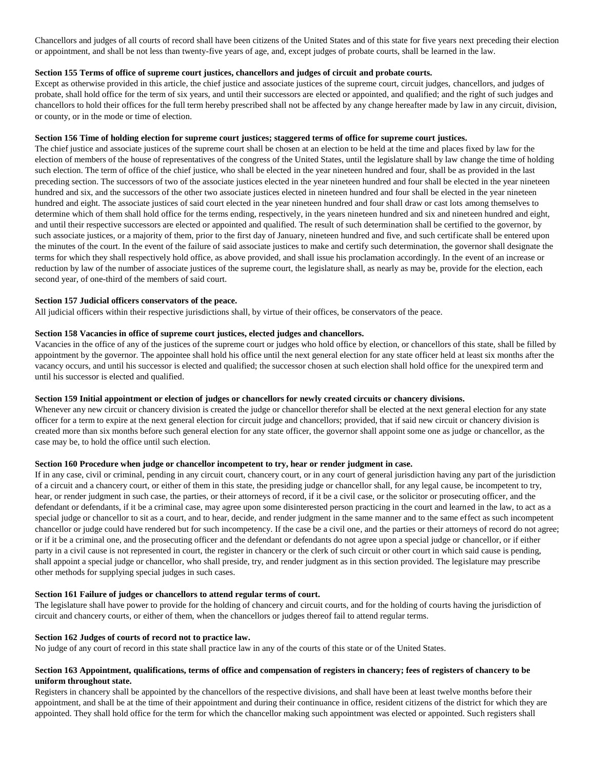Chancellors and judges of all courts of record shall have been citizens of the United States and of this state for five years next preceding their election or appointment, and shall be not less than twenty-five years of age, and, except judges of probate courts, shall be learned in the law.

## **Section 155 Terms of office of supreme court justices, chancellors and judges of circuit and probate courts.**

Except as otherwise provided in this article, the chief justice and associate justices of the supreme court, circuit judges, chancellors, and judges of probate, shall hold office for the term of six years, and until their successors are elected or appointed, and qualified; and the right of such judges and chancellors to hold their offices for the full term hereby prescribed shall not be affected by any change hereafter made by law in any circuit, division, or county, or in the mode or time of election.

## **Section 156 Time of holding election for supreme court justices; staggered terms of office for supreme court justices.**

The chief justice and associate justices of the supreme court shall be chosen at an election to be held at the time and places fixed by law for the election of members of the house of representatives of the congress of the United States, until the legislature shall by law change the time of holding such election. The term of office of the chief justice, who shall be elected in the year nineteen hundred and four, shall be as provided in the last preceding section. The successors of two of the associate justices elected in the year nineteen hundred and four shall be elected in the year nineteen hundred and six, and the successors of the other two associate justices elected in nineteen hundred and four shall be elected in the year nineteen hundred and eight. The associate justices of said court elected in the year nineteen hundred and four shall draw or cast lots among themselves to determine which of them shall hold office for the terms ending, respectively, in the years nineteen hundred and six and nineteen hundred and eight, and until their respective successors are elected or appointed and qualified. The result of such determination shall be certified to the governor, by such associate justices, or a majority of them, prior to the first day of January, nineteen hundred and five, and such certificate shall be entered upon the minutes of the court. In the event of the failure of said associate justices to make and certify such determination, the governor shall designate the terms for which they shall respectively hold office, as above provided, and shall issue his proclamation accordingly. In the event of an increase or reduction by law of the number of associate justices of the supreme court, the legislature shall, as nearly as may be, provide for the election, each second year, of one-third of the members of said court.

## **Section 157 Judicial officers conservators of the peace.**

All judicial officers within their respective jurisdictions shall, by virtue of their offices, be conservators of the peace.

## **Section 158 Vacancies in office of supreme court justices, elected judges and chancellors.**

Vacancies in the office of any of the justices of the supreme court or judges who hold office by election, or chancellors of this state, shall be filled by appointment by the governor. The appointee shall hold his office until the next general election for any state officer held at least six months after the vacancy occurs, and until his successor is elected and qualified; the successor chosen at such election shall hold office for the unexpired term and until his successor is elected and qualified.

# **Section 159 Initial appointment or election of judges or chancellors for newly created circuits or chancery divisions.**

Whenever any new circuit or chancery division is created the judge or chancellor therefor shall be elected at the next general election for any state officer for a term to expire at the next general election for circuit judge and chancellors; provided, that if said new circuit or chancery division is created more than six months before such general election for any state officer, the governor shall appoint some one as judge or chancellor, as the case may be, to hold the office until such election.

## **Section 160 Procedure when judge or chancellor incompetent to try, hear or render judgment in case.**

If in any case, civil or criminal, pending in any circuit court, chancery court, or in any court of general jurisdiction having any part of the jurisdiction of a circuit and a chancery court, or either of them in this state, the presiding judge or chancellor shall, for any legal cause, be incompetent to try, hear, or render judgment in such case, the parties, or their attorneys of record, if it be a civil case, or the solicitor or prosecuting officer, and the defendant or defendants, if it be a criminal case, may agree upon some disinterested person practicing in the court and learned in the law, to act as a special judge or chancellor to sit as a court, and to hear, decide, and render judgment in the same manner and to the same effect as such incompetent chancellor or judge could have rendered but for such incompetency. If the case be a civil one, and the parties or their attorneys of record do not agree; or if it be a criminal one, and the prosecuting officer and the defendant or defendants do not agree upon a special judge or chancellor, or if either party in a civil cause is not represented in court, the register in chancery or the clerk of such circuit or other court in which said cause is pending, shall appoint a special judge or chancellor, who shall preside, try, and render judgment as in this section provided. The legislature may prescribe other methods for supplying special judges in such cases.

#### **Section 161 Failure of judges or chancellors to attend regular terms of court.**

The legislature shall have power to provide for the holding of chancery and circuit courts, and for the holding of courts having the jurisdiction of circuit and chancery courts, or either of them, when the chancellors or judges thereof fail to attend regular terms.

## **Section 162 Judges of courts of record not to practice law.**

No judge of any court of record in this state shall practice law in any of the courts of this state or of the United States.

## **Section 163 Appointment, qualifications, terms of office and compensation of registers in chancery; fees of registers of chancery to be uniform throughout state.**

Registers in chancery shall be appointed by the chancellors of the respective divisions, and shall have been at least twelve months before their appointment, and shall be at the time of their appointment and during their continuance in office, resident citizens of the district for which they are appointed. They shall hold office for the term for which the chancellor making such appointment was elected or appointed. Such registers shall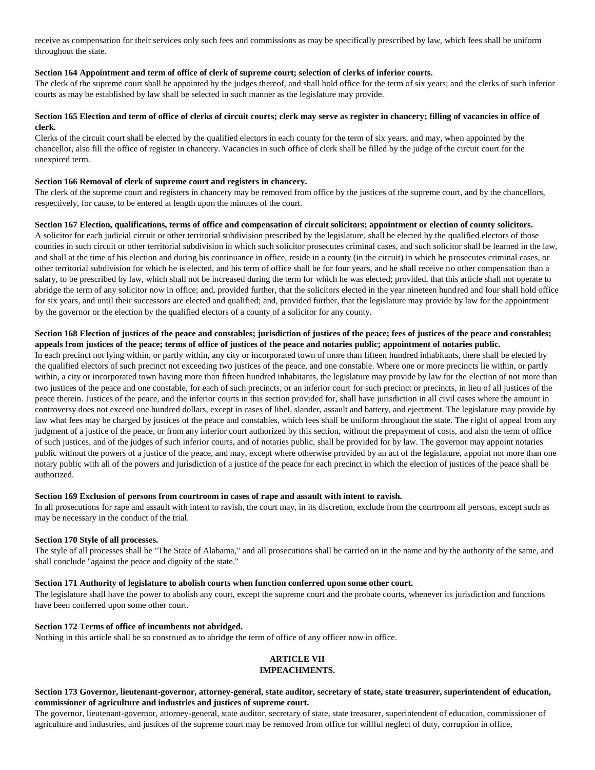receive as compensation for their services only such fees and commissions as may be specifically prescribed by law, which fees shall be uniform throughout the state.

## **Section 164 Appointment and term of office of clerk of supreme court; selection of clerks of inferior courts.**

The clerk of the supreme court shall be appointed by the judges thereof, and shall hold office for the term of six years; and the clerks of such inferior courts as may be established by law shall be selected in such manner as the legislature may provide.

# **Section 165 Election and term of office of clerks of circuit courts; clerk may serve as register in chancery; filling of vacancies in office of clerk.**

Clerks of the circuit court shall be elected by the qualified electors in each county for the term of six years, and may, when appointed by the chancellor, also fill the office of register in chancery. Vacancies in such office of clerk shall be filled by the judge of the circuit court for the unexpired term.

## **Section 166 Removal of clerk of supreme court and registers in chancery.**

The clerk of the supreme court and registers in chancery may be removed from office by the justices of the supreme court, and by the chancellors, respectively, for cause, to be entered at length upon the minutes of the court.

# **Section 167 Election, qualifications, terms of office and compensation of circuit solicitors; appointment or election of county solicitors.**

A solicitor for each judicial circuit or other territorial subdivision prescribed by the legislature, shall be elected by the qualified electors of those counties in such circuit or other territorial subdivision in which such solicitor prosecutes criminal cases, and such solicitor shall be learned in the law, and shall at the time of his election and during his continuance in office, reside in a county (in the circuit) in which he prosecutes criminal cases, or other territorial subdivision for which he is elected, and his term of office shall be for four years, and he shall receive no other compensation than a salary, to be prescribed by law, which shall not be increased during the term for which he was elected; provided, that this article shall not operate to abridge the term of any solicitor now in office; and, provided further, that the solicitors elected in the year nineteen hundred and four shall hold office for six years, and until their successors are elected and qualified; and, provided further, that the legislature may provide by law for the appointment by the governor or the election by the qualified electors of a county of a solicitor for any county.

## **Section 168 Election of justices of the peace and constables; jurisdiction of justices of the peace; fees of justices of the peace and constables; appeals from justices of the peace; terms of office of justices of the peace and notaries public; appointment of notaries public.**

In each precinct not lying within, or partly within, any city or incorporated town of more than fifteen hundred inhabitants, there shall be elected by the qualified electors of such precinct not exceeding two justices of the peace, and one constable. Where one or more precincts lie within, or partly within, a city or incorporated town having more than fifteen hundred inhabitants, the legislature may provide by law for the election of not more than two justices of the peace and one constable, for each of such precincts, or an inferior court for such precinct or precincts, in lieu of all justices of the peace therein. Justices of the peace, and the inferior courts in this section provided for, shall have jurisdiction in all civil cases where the amount in controversy does not exceed one hundred dollars, except in cases of libel, slander, assault and battery, and ejectment. The legislature may provide by law what fees may be charged by justices of the peace and constables, which fees shall be uniform throughout the state. The right of appeal from any judgment of a justice of the peace, or from any inferior court authorized by this section, without the prepayment of costs, and also the term of office of such justices, and of the judges of such inferior courts, and of notaries public, shall be provided for by law. The governor may appoint notaries public without the powers of a justice of the peace, and may, except where otherwise provided by an act of the legislature, appoint not more than one notary public with all of the powers and jurisdiction of a justice of the peace for each precinct in which the election of justices of the peace shall be authorized.

## **Section 169 Exclusion of persons from courtroom in cases of rape and assault with intent to ravish.**

In all prosecutions for rape and assault with intent to ravish, the court may, in its discretion, exclude from the courtroom all persons, except such as may be necessary in the conduct of the trial.

# **Section 170 Style of all processes.**

The style of all processes shall be "The State of Alabama," and all prosecutions shall be carried on in the name and by the authority of the same, and shall conclude "against the peace and dignity of the state."

## **Section 171 Authority of legislature to abolish courts when function conferred upon some other court.**

The legislature shall have the power to abolish any court, except the supreme court and the probate courts, whenever its jurisdiction and functions have been conferred upon some other court.

## **Section 172 Terms of office of incumbents not abridged.**

Nothing in this article shall be so construed as to abridge the term of office of any officer now in office.

# **ARTICLE VII IMPEACHMENTS.**

## **Section 173 Governor, lieutenant-governor, attorney-general, state auditor, secretary of state, state treasurer, superintendent of education, commissioner of agriculture and industries and justices of supreme court.**

The governor, lieutenant-governor, attorney-general, state auditor, secretary of state, state treasurer, superintendent of education, commissioner of agriculture and industries, and justices of the supreme court may be removed from office for willful neglect of duty, corruption in office,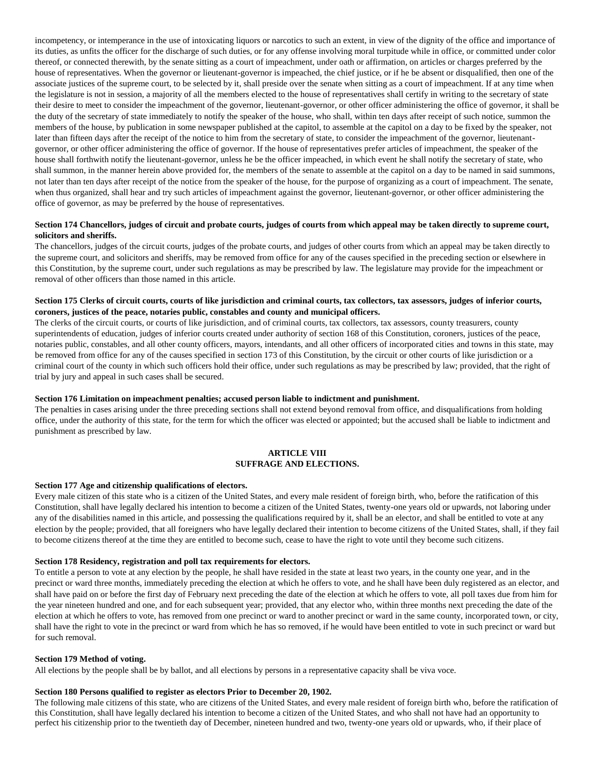incompetency, or intemperance in the use of intoxicating liquors or narcotics to such an extent, in view of the dignity of the office and importance of its duties, as unfits the officer for the discharge of such duties, or for any offense involving moral turpitude while in office, or committed under color thereof, or connected therewith, by the senate sitting as a court of impeachment, under oath or affirmation, on articles or charges preferred by the house of representatives. When the governor or lieutenant-governor is impeached, the chief justice, or if he be absent or disqualified, then one of the associate justices of the supreme court, to be selected by it, shall preside over the senate when sitting as a court of impeachment. If at any time when the legislature is not in session, a majority of all the members elected to the house of representatives shall certify in writing to the secretary of state their desire to meet to consider the impeachment of the governor, lieutenant-governor, or other officer administering the office of governor, it shall be the duty of the secretary of state immediately to notify the speaker of the house, who shall, within ten days after receipt of such notice, summon the members of the house, by publication in some newspaper published at the capitol, to assemble at the capitol on a day to be fixed by the speaker, not later than fifteen days after the receipt of the notice to him from the secretary of state, to consider the impeachment of the governor, lieutenantgovernor, or other officer administering the office of governor. If the house of representatives prefer articles of impeachment, the speaker of the house shall forthwith notify the lieutenant-governor, unless he be the officer impeached, in which event he shall notify the secretary of state, who shall summon, in the manner herein above provided for, the members of the senate to assemble at the capitol on a day to be named in said summons, not later than ten days after receipt of the notice from the speaker of the house, for the purpose of organizing as a court of impeachment. The senate, when thus organized, shall hear and try such articles of impeachment against the governor, lieutenant-governor, or other officer administering the office of governor, as may be preferred by the house of representatives.

# **Section 174 Chancellors, judges of circuit and probate courts, judges of courts from which appeal may be taken directly to supreme court, solicitors and sheriffs.**

The chancellors, judges of the circuit courts, judges of the probate courts, and judges of other courts from which an appeal may be taken directly to the supreme court, and solicitors and sheriffs, may be removed from office for any of the causes specified in the preceding section or elsewhere in this Constitution, by the supreme court, under such regulations as may be prescribed by law. The legislature may provide for the impeachment or removal of other officers than those named in this article.

# **Section 175 Clerks of circuit courts, courts of like jurisdiction and criminal courts, tax collectors, tax assessors, judges of inferior courts, coroners, justices of the peace, notaries public, constables and county and municipal officers.**

The clerks of the circuit courts, or courts of like jurisdiction, and of criminal courts, tax collectors, tax assessors, county treasurers, county superintendents of education, judges of inferior courts created under authority of section 168 of this Constitution, coroners, justices of the peace, notaries public, constables, and all other county officers, mayors, intendants, and all other officers of incorporated cities and towns in this state, may be removed from office for any of the causes specified in section 173 of this Constitution, by the circuit or other courts of like jurisdiction or a criminal court of the county in which such officers hold their office, under such regulations as may be prescribed by law; provided, that the right of trial by jury and appeal in such cases shall be secured.

#### **Section 176 Limitation on impeachment penalties; accused person liable to indictment and punishment.**

The penalties in cases arising under the three preceding sections shall not extend beyond removal from office, and disqualifications from holding office, under the authority of this state, for the term for which the officer was elected or appointed; but the accused shall be liable to indictment and punishment as prescribed by law.

# **ARTICLE VIII SUFFRAGE AND ELECTIONS.**

#### **Section 177 Age and citizenship qualifications of electors.**

Every male citizen of this state who is a citizen of the United States, and every male resident of foreign birth, who, before the ratification of this Constitution, shall have legally declared his intention to become a citizen of the United States, twenty-one years old or upwards, not laboring under any of the disabilities named in this article, and possessing the qualifications required by it, shall be an elector, and shall be entitled to vote at any election by the people; provided, that all foreigners who have legally declared their intention to become citizens of the United States, shall, if they fail to become citizens thereof at the time they are entitled to become such, cease to have the right to vote until they become such citizens.

#### **Section 178 Residency, registration and poll tax requirements for electors.**

To entitle a person to vote at any election by the people, he shall have resided in the state at least two years, in the county one year, and in the precinct or ward three months, immediately preceding the election at which he offers to vote, and he shall have been duly registered as an elector, and shall have paid on or before the first day of February next preceding the date of the election at which he offers to vote, all poll taxes due from him for the year nineteen hundred and one, and for each subsequent year; provided, that any elector who, within three months next preceding the date of the election at which he offers to vote, has removed from one precinct or ward to another precinct or ward in the same county, incorporated town, or city, shall have the right to vote in the precinct or ward from which he has so removed, if he would have been entitled to vote in such precinct or ward but for such removal.

#### **Section 179 Method of voting.**

All elections by the people shall be by ballot, and all elections by persons in a representative capacity shall be viva voce.

# **Section 180 Persons qualified to register as electors Prior to December 20, 1902.**

The following male citizens of this state, who are citizens of the United States, and every male resident of foreign birth who, before the ratification of this Constitution, shall have legally declared his intention to become a citizen of the United States, and who shall not have had an opportunity to perfect his citizenship prior to the twentieth day of December, nineteen hundred and two, twenty-one years old or upwards, who, if their place of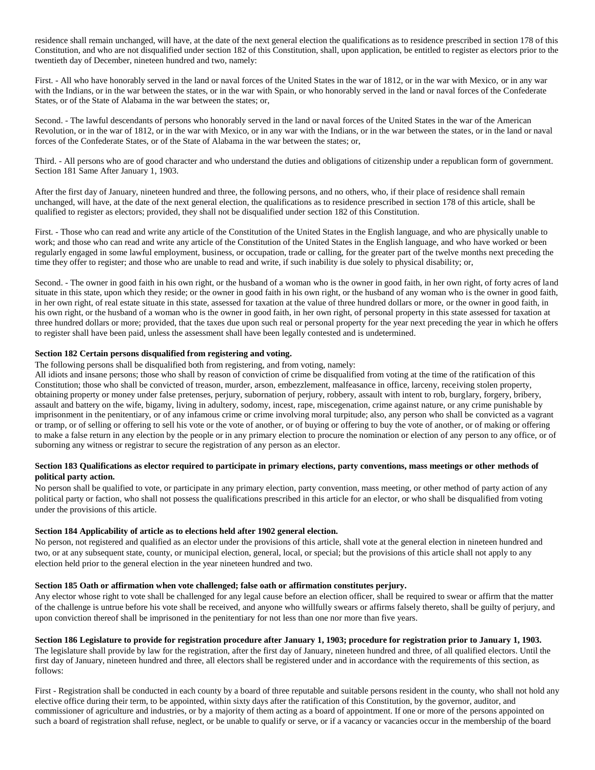residence shall remain unchanged, will have, at the date of the next general election the qualifications as to residence prescribed in section 178 of this Constitution, and who are not disqualified under section 182 of this Constitution, shall, upon application, be entitled to register as electors prior to the twentieth day of December, nineteen hundred and two, namely:

First. - All who have honorably served in the land or naval forces of the United States in the war of 1812, or in the war with Mexico, or in any war with the Indians, or in the war between the states, or in the war with Spain, or who honorably served in the land or naval forces of the Confederate States, or of the State of Alabama in the war between the states; or,

Second. - The lawful descendants of persons who honorably served in the land or naval forces of the United States in the war of the American Revolution, or in the war of 1812, or in the war with Mexico, or in any war with the Indians, or in the war between the states, or in the land or naval forces of the Confederate States, or of the State of Alabama in the war between the states; or,

Third. - All persons who are of good character and who understand the duties and obligations of citizenship under a republican form of government. Section 181 Same After January 1, 1903.

After the first day of January, nineteen hundred and three, the following persons, and no others, who, if their place of residence shall remain unchanged, will have, at the date of the next general election, the qualifications as to residence prescribed in section 178 of this article, shall be qualified to register as electors; provided, they shall not be disqualified under section 182 of this Constitution.

First. - Those who can read and write any article of the Constitution of the United States in the English language, and who are physically unable to work; and those who can read and write any article of the Constitution of the United States in the English language, and who have worked or been regularly engaged in some lawful employment, business, or occupation, trade or calling, for the greater part of the twelve months next preceding the time they offer to register; and those who are unable to read and write, if such inability is due solely to physical disability; or,

Second. - The owner in good faith in his own right, or the husband of a woman who is the owner in good faith, in her own right, of forty acres of land situate in this state, upon which they reside; or the owner in good faith in his own right, or the husband of any woman who is the owner in good faith, in her own right, of real estate situate in this state, assessed for taxation at the value of three hundred dollars or more, or the owner in good faith, in his own right, or the husband of a woman who is the owner in good faith, in her own right, of personal property in this state assessed for taxation at three hundred dollars or more; provided, that the taxes due upon such real or personal property for the year next preceding the year in which he offers to register shall have been paid, unless the assessment shall have been legally contested and is undetermined.

## **Section 182 Certain persons disqualified from registering and voting.**

The following persons shall be disqualified both from registering, and from voting, namely:

All idiots and insane persons; those who shall by reason of conviction of crime be disqualified from voting at the time of the ratification of this Constitution; those who shall be convicted of treason, murder, arson, embezzlement, malfeasance in office, larceny, receiving stolen property, obtaining property or money under false pretenses, perjury, subornation of perjury, robbery, assault with intent to rob, burglary, forgery, bribery, assault and battery on the wife, bigamy, living in adultery, sodomy, incest, rape, miscegenation, crime against nature, or any crime punishable by imprisonment in the penitentiary, or of any infamous crime or crime involving moral turpitude; also, any person who shall be convicted as a vagrant or tramp, or of selling or offering to sell his vote or the vote of another, or of buying or offering to buy the vote of another, or of making or offering to make a false return in any election by the people or in any primary election to procure the nomination or election of any person to any office, or of suborning any witness or registrar to secure the registration of any person as an elector.

## **Section 183 Qualifications as elector required to participate in primary elections, party conventions, mass meetings or other methods of political party action.**

No person shall be qualified to vote, or participate in any primary election, party convention, mass meeting, or other method of party action of any political party or faction, who shall not possess the qualifications prescribed in this article for an elector, or who shall be disqualified from voting under the provisions of this article.

#### **Section 184 Applicability of article as to elections held after 1902 general election.**

No person, not registered and qualified as an elector under the provisions of this article, shall vote at the general election in nineteen hundred and two, or at any subsequent state, county, or municipal election, general, local, or special; but the provisions of this article shall not apply to any election held prior to the general election in the year nineteen hundred and two.

## **Section 185 Oath or affirmation when vote challenged; false oath or affirmation constitutes perjury.**

Any elector whose right to vote shall be challenged for any legal cause before an election officer, shall be required to swear or affirm that the matter of the challenge is untrue before his vote shall be received, and anyone who willfully swears or affirms falsely thereto, shall be guilty of perjury, and upon conviction thereof shall be imprisoned in the penitentiary for not less than one nor more than five years.

# **Section 186 Legislature to provide for registration procedure after January 1, 1903; procedure for registration prior to January 1, 1903.**

The legislature shall provide by law for the registration, after the first day of January, nineteen hundred and three, of all qualified electors. Until the first day of January, nineteen hundred and three, all electors shall be registered under and in accordance with the requirements of this section, as follows:

First - Registration shall be conducted in each county by a board of three reputable and suitable persons resident in the county, who shall not hold any elective office during their term, to be appointed, within sixty days after the ratification of this Constitution, by the governor, auditor, and commissioner of agriculture and industries, or by a majority of them acting as a board of appointment. If one or more of the persons appointed on such a board of registration shall refuse, neglect, or be unable to qualify or serve, or if a vacancy or vacancies occur in the membership of the board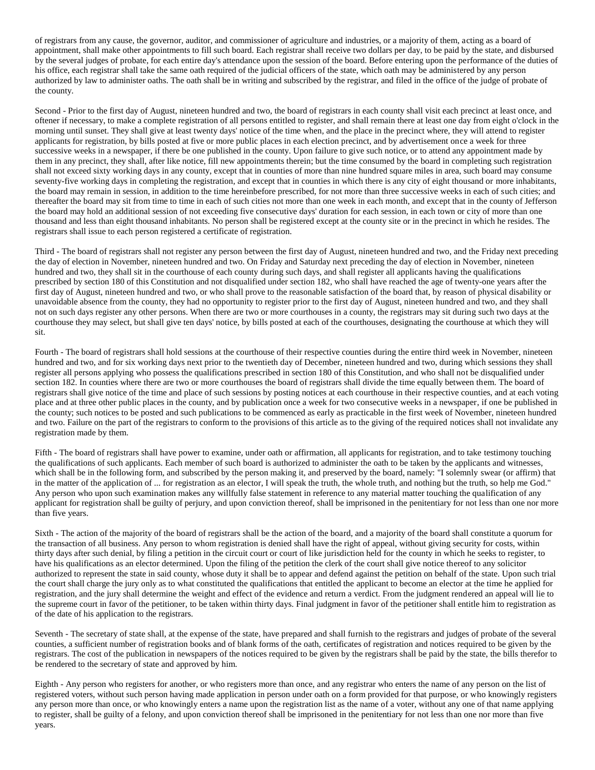of registrars from any cause, the governor, auditor, and commissioner of agriculture and industries, or a majority of them, acting as a board of appointment, shall make other appointments to fill such board. Each registrar shall receive two dollars per day, to be paid by the state, and disbursed by the several judges of probate, for each entire day's attendance upon the session of the board. Before entering upon the performance of the duties of his office, each registrar shall take the same oath required of the judicial officers of the state, which oath may be administered by any person authorized by law to administer oaths. The oath shall be in writing and subscribed by the registrar, and filed in the office of the judge of probate of the county.

Second - Prior to the first day of August, nineteen hundred and two, the board of registrars in each county shall visit each precinct at least once, and oftener if necessary, to make a complete registration of all persons entitled to register, and shall remain there at least one day from eight o'clock in the morning until sunset. They shall give at least twenty days' notice of the time when, and the place in the precinct where, they will attend to register applicants for registration, by bills posted at five or more public places in each election precinct, and by advertisement once a week for three successive weeks in a newspaper, if there be one published in the county. Upon failure to give such notice, or to attend any appointment made by them in any precinct, they shall, after like notice, fill new appointments therein; but the time consumed by the board in completing such registration shall not exceed sixty working days in any county, except that in counties of more than nine hundred square miles in area, such board may consume seventy-five working days in completing the registration, and except that in counties in which there is any city of eight thousand or more inhabitants, the board may remain in session, in addition to the time hereinbefore prescribed, for not more than three successive weeks in each of such cities; and thereafter the board may sit from time to time in each of such cities not more than one week in each month, and except that in the county of Jefferson the board may hold an additional session of not exceeding five consecutive days' duration for each session, in each town or city of more than one thousand and less than eight thousand inhabitants. No person shall be registered except at the county site or in the precinct in which he resides. The registrars shall issue to each person registered a certificate of registration.

Third - The board of registrars shall not register any person between the first day of August, nineteen hundred and two, and the Friday next preceding the day of election in November, nineteen hundred and two. On Friday and Saturday next preceding the day of election in November, nineteen hundred and two, they shall sit in the courthouse of each county during such days, and shall register all applicants having the qualifications prescribed by section 180 of this Constitution and not disqualified under section 182, who shall have reached the age of twenty-one years after the first day of August, nineteen hundred and two, or who shall prove to the reasonable satisfaction of the board that, by reason of physical disability or unavoidable absence from the county, they had no opportunity to register prior to the first day of August, nineteen hundred and two, and they shall not on such days register any other persons. When there are two or more courthouses in a county, the registrars may sit during such two days at the courthouse they may select, but shall give ten days' notice, by bills posted at each of the courthouses, designating the courthouse at which they will sit.

Fourth - The board of registrars shall hold sessions at the courthouse of their respective counties during the entire third week in November, nineteen hundred and two, and for six working days next prior to the twentieth day of December, nineteen hundred and two, during which sessions they shall register all persons applying who possess the qualifications prescribed in section 180 of this Constitution, and who shall not be disqualified under section 182. In counties where there are two or more courthouses the board of registrars shall divide the time equally between them. The board of registrars shall give notice of the time and place of such sessions by posting notices at each courthouse in their respective counties, and at each voting place and at three other public places in the county, and by publication once a week for two consecutive weeks in a newspaper, if one be published in the county; such notices to be posted and such publications to be commenced as early as practicable in the first week of November, nineteen hundred and two. Failure on the part of the registrars to conform to the provisions of this article as to the giving of the required notices shall not invalidate any registration made by them.

Fifth - The board of registrars shall have power to examine, under oath or affirmation, all applicants for registration, and to take testimony touching the qualifications of such applicants. Each member of such board is authorized to administer the oath to be taken by the applicants and witnesses, which shall be in the following form, and subscribed by the person making it, and preserved by the board, namely: "I solemnly swear (or affirm) that in the matter of the application of ... for registration as an elector, I will speak the truth, the whole truth, and nothing but the truth, so help me God." Any person who upon such examination makes any willfully false statement in reference to any material matter touching the qualification of any applicant for registration shall be guilty of perjury, and upon conviction thereof, shall be imprisoned in the penitentiary for not less than one nor more than five years.

Sixth - The action of the majority of the board of registrars shall be the action of the board, and a majority of the board shall constitute a quorum for the transaction of all business. Any person to whom registration is denied shall have the right of appeal, without giving security for costs, within thirty days after such denial, by filing a petition in the circuit court or court of like jurisdiction held for the county in which he seeks to register, to have his qualifications as an elector determined. Upon the filing of the petition the clerk of the court shall give notice thereof to any solicitor authorized to represent the state in said county, whose duty it shall be to appear and defend against the petition on behalf of the state. Upon such trial the court shall charge the jury only as to what constituted the qualifications that entitled the applicant to become an elector at the time he applied for registration, and the jury shall determine the weight and effect of the evidence and return a verdict. From the judgment rendered an appeal will lie to the supreme court in favor of the petitioner, to be taken within thirty days. Final judgment in favor of the petitioner shall entitle him to registration as of the date of his application to the registrars.

Seventh - The secretary of state shall, at the expense of the state, have prepared and shall furnish to the registrars and judges of probate of the several counties, a sufficient number of registration books and of blank forms of the oath, certificates of registration and notices required to be given by the registrars. The cost of the publication in newspapers of the notices required to be given by the registrars shall be paid by the state, the bills therefor to be rendered to the secretary of state and approved by him.

Eighth - Any person who registers for another, or who registers more than once, and any registrar who enters the name of any person on the list of registered voters, without such person having made application in person under oath on a form provided for that purpose, or who knowingly registers any person more than once, or who knowingly enters a name upon the registration list as the name of a voter, without any one of that name applying to register, shall be guilty of a felony, and upon conviction thereof shall be imprisoned in the penitentiary for not less than one nor more than five years.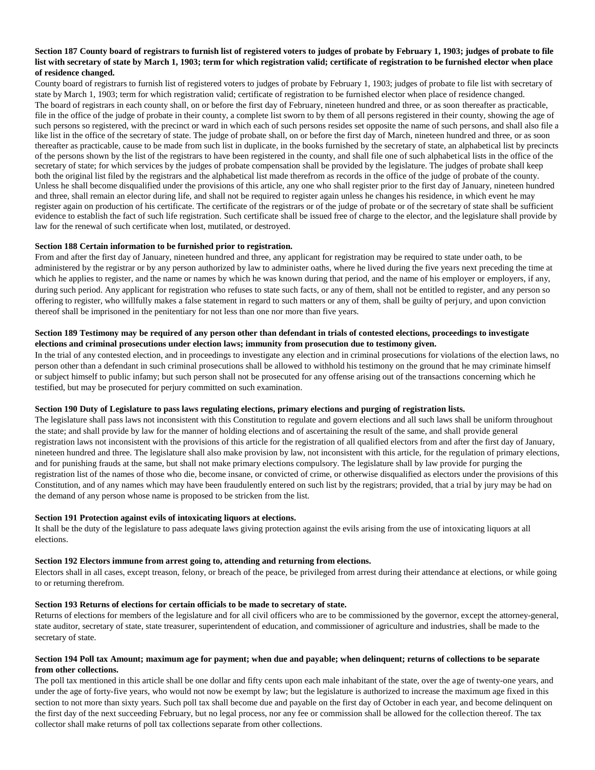## **Section 187 County board of registrars to furnish list of registered voters to judges of probate by February 1, 1903; judges of probate to file list with secretary of state by March 1, 1903; term for which registration valid; certificate of registration to be furnished elector when place of residence changed.**

County board of registrars to furnish list of registered voters to judges of probate by February 1, 1903; judges of probate to file list with secretary of state by March 1, 1903; term for which registration valid; certificate of registration to be furnished elector when place of residence changed. The board of registrars in each county shall, on or before the first day of February, nineteen hundred and three, or as soon thereafter as practicable, file in the office of the judge of probate in their county, a complete list sworn to by them of all persons registered in their county, showing the age of such persons so registered, with the precinct or ward in which each of such persons resides set opposite the name of such persons, and shall also file a like list in the office of the secretary of state. The judge of probate shall, on or before the first day of March, nineteen hundred and three, or as soon thereafter as practicable, cause to be made from such list in duplicate, in the books furnished by the secretary of state, an alphabetical list by precincts of the persons shown by the list of the registrars to have been registered in the county, and shall file one of such alphabetical lists in the office of the secretary of state; for which services by the judges of probate compensation shall be provided by the legislature. The judges of probate shall keep both the original list filed by the registrars and the alphabetical list made therefrom as records in the office of the judge of probate of the county. Unless he shall become disqualified under the provisions of this article, any one who shall register prior to the first day of January, nineteen hundred and three, shall remain an elector during life, and shall not be required to register again unless he changes his residence, in which event he may register again on production of his certificate. The certificate of the registrars or of the judge of probate or of the secretary of state shall be sufficient evidence to establish the fact of such life registration. Such certificate shall be issued free of charge to the elector, and the legislature shall provide by law for the renewal of such certificate when lost, mutilated, or destroyed.

# **Section 188 Certain information to be furnished prior to registration.**

From and after the first day of January, nineteen hundred and three, any applicant for registration may be required to state under oath, to be administered by the registrar or by any person authorized by law to administer oaths, where he lived during the five years next preceding the time at which he applies to register, and the name or names by which he was known during that period, and the name of his employer or employers, if any, during such period. Any applicant for registration who refuses to state such facts, or any of them, shall not be entitled to register, and any person so offering to register, who willfully makes a false statement in regard to such matters or any of them, shall be guilty of perjury, and upon conviction thereof shall be imprisoned in the penitentiary for not less than one nor more than five years.

## **Section 189 Testimony may be required of any person other than defendant in trials of contested elections, proceedings to investigate elections and criminal prosecutions under election laws; immunity from prosecution due to testimony given.**

In the trial of any contested election, and in proceedings to investigate any election and in criminal prosecutions for violations of the election laws, no person other than a defendant in such criminal prosecutions shall be allowed to withhold his testimony on the ground that he may criminate himself or subject himself to public infamy; but such person shall not be prosecuted for any offense arising out of the transactions concerning which he testified, but may be prosecuted for perjury committed on such examination.

## **Section 190 Duty of Legislature to pass laws regulating elections, primary elections and purging of registration lists.**

The legislature shall pass laws not inconsistent with this Constitution to regulate and govern elections and all such laws shall be uniform throughout the state; and shall provide by law for the manner of holding elections and of ascertaining the result of the same, and shall provide general registration laws not inconsistent with the provisions of this article for the registration of all qualified electors from and after the first day of January, nineteen hundred and three. The legislature shall also make provision by law, not inconsistent with this article, for the regulation of primary elections, and for punishing frauds at the same, but shall not make primary elections compulsory. The legislature shall by law provide for purging the registration list of the names of those who die, become insane, or convicted of crime, or otherwise disqualified as electors under the provisions of this Constitution, and of any names which may have been fraudulently entered on such list by the registrars; provided, that a trial by jury may be had on the demand of any person whose name is proposed to be stricken from the list.

#### **Section 191 Protection against evils of intoxicating liquors at elections.**

It shall be the duty of the legislature to pass adequate laws giving protection against the evils arising from the use of intoxicating liquors at all elections.

## **Section 192 Electors immune from arrest going to, attending and returning from elections.**

Electors shall in all cases, except treason, felony, or breach of the peace, be privileged from arrest during their attendance at elections, or while going to or returning therefrom.

## **Section 193 Returns of elections for certain officials to be made to secretary of state.**

Returns of elections for members of the legislature and for all civil officers who are to be commissioned by the governor, except the attorney-general, state auditor, secretary of state, state treasurer, superintendent of education, and commissioner of agriculture and industries, shall be made to the secretary of state.

#### **Section 194 Poll tax Amount; maximum age for payment; when due and payable; when delinquent; returns of collections to be separate from other collections.**

The poll tax mentioned in this article shall be one dollar and fifty cents upon each male inhabitant of the state, over the age of twenty-one years, and under the age of forty-five years, who would not now be exempt by law; but the legislature is authorized to increase the maximum age fixed in this section to not more than sixty years. Such poll tax shall become due and payable on the first day of October in each year, and become delinquent on the first day of the next succeeding February, but no legal process, nor any fee or commission shall be allowed for the collection thereof. The tax collector shall make returns of poll tax collections separate from other collections.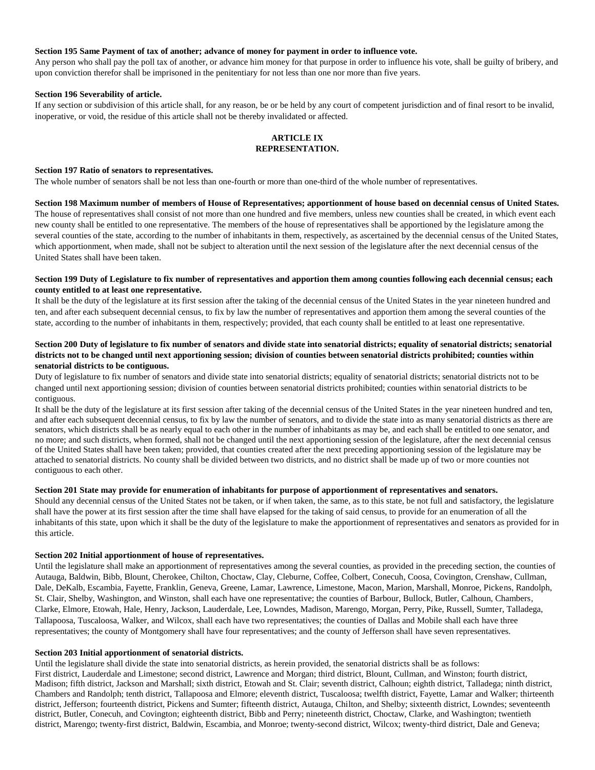## **Section 195 Same Payment of tax of another; advance of money for payment in order to influence vote.**

Any person who shall pay the poll tax of another, or advance him money for that purpose in order to influence his vote, shall be guilty of bribery, and upon conviction therefor shall be imprisoned in the penitentiary for not less than one nor more than five years.

## **Section 196 Severability of article.**

If any section or subdivision of this article shall, for any reason, be or be held by any court of competent jurisdiction and of final resort to be invalid, inoperative, or void, the residue of this article shall not be thereby invalidated or affected.

# **ARTICLE IX REPRESENTATION.**

## **Section 197 Ratio of senators to representatives.**

The whole number of senators shall be not less than one-fourth or more than one-third of the whole number of representatives.

**Section 198 Maximum number of members of House of Representatives; apportionment of house based on decennial census of United States.** The house of representatives shall consist of not more than one hundred and five members, unless new counties shall be created, in which event each new county shall be entitled to one representative. The members of the house of representatives shall be apportioned by the legislature among the several counties of the state, according to the number of inhabitants in them, respectively, as ascertained by the decennial census of the United States, which apportionment, when made, shall not be subject to alteration until the next session of the legislature after the next decennial census of the United States shall have been taken.

## **Section 199 Duty of Legislature to fix number of representatives and apportion them among counties following each decennial census; each county entitled to at least one representative.**

It shall be the duty of the legislature at its first session after the taking of the decennial census of the United States in the year nineteen hundred and ten, and after each subsequent decennial census, to fix by law the number of representatives and apportion them among the several counties of the state, according to the number of inhabitants in them, respectively; provided, that each county shall be entitled to at least one representative.

# **Section 200 Duty of legislature to fix number of senators and divide state into senatorial districts; equality of senatorial districts; senatorial districts not to be changed until next apportioning session; division of counties between senatorial districts prohibited; counties within senatorial districts to be contiguous.**

Duty of legislature to fix number of senators and divide state into senatorial districts; equality of senatorial districts; senatorial districts not to be changed until next apportioning session; division of counties between senatorial districts prohibited; counties within senatorial districts to be contiguous.

It shall be the duty of the legislature at its first session after taking of the decennial census of the United States in the year nineteen hundred and ten, and after each subsequent decennial census, to fix by law the number of senators, and to divide the state into as many senatorial districts as there are senators, which districts shall be as nearly equal to each other in the number of inhabitants as may be, and each shall be entitled to one senator, and no more; and such districts, when formed, shall not be changed until the next apportioning session of the legislature, after the next decennial census of the United States shall have been taken; provided, that counties created after the next preceding apportioning session of the legislature may be attached to senatorial districts. No county shall be divided between two districts, and no district shall be made up of two or more counties not contiguous to each other.

# **Section 201 State may provide for enumeration of inhabitants for purpose of apportionment of representatives and senators.**

Should any decennial census of the United States not be taken, or if when taken, the same, as to this state, be not full and satisfactory, the legislature shall have the power at its first session after the time shall have elapsed for the taking of said census, to provide for an enumeration of all the inhabitants of this state, upon which it shall be the duty of the legislature to make the apportionment of representatives and senators as provided for in this article.

# **Section 202 Initial apportionment of house of representatives.**

Until the legislature shall make an apportionment of representatives among the several counties, as provided in the preceding section, the counties of Autauga, Baldwin, Bibb, Blount, Cherokee, Chilton, Choctaw, Clay, Cleburne, Coffee, Colbert, Conecuh, Coosa, Covington, Crenshaw, Cullman, Dale, DeKalb, Escambia, Fayette, Franklin, Geneva, Greene, Lamar, Lawrence, Limestone, Macon, Marion, Marshall, Monroe, Pickens, Randolph, St. Clair, Shelby, Washington, and Winston, shall each have one representative; the counties of Barbour, Bullock, Butler, Calhoun, Chambers, Clarke, Elmore, Etowah, Hale, Henry, Jackson, Lauderdale, Lee, Lowndes, Madison, Marengo, Morgan, Perry, Pike, Russell, Sumter, Talladega, Tallapoosa, Tuscaloosa, Walker, and Wilcox, shall each have two representatives; the counties of Dallas and Mobile shall each have three representatives; the county of Montgomery shall have four representatives; and the county of Jefferson shall have seven representatives.

## **Section 203 Initial apportionment of senatorial districts.**

Until the legislature shall divide the state into senatorial districts, as herein provided, the senatorial districts shall be as follows: First district, Lauderdale and Limestone; second district, Lawrence and Morgan; third district, Blount, Cullman, and Winston; fourth district, Madison; fifth district, Jackson and Marshall; sixth district, Etowah and St. Clair; seventh district, Calhoun; eighth district, Talladega; ninth district, Chambers and Randolph; tenth district, Tallapoosa and Elmore; eleventh district, Tuscaloosa; twelfth district, Fayette, Lamar and Walker; thirteenth district, Jefferson; fourteenth district, Pickens and Sumter; fifteenth district, Autauga, Chilton, and Shelby; sixteenth district, Lowndes; seventeenth district, Butler, Conecuh, and Covington; eighteenth district, Bibb and Perry; nineteenth district, Choctaw, Clarke, and Washington; twentieth district, Marengo; twenty-first district, Baldwin, Escambia, and Monroe; twenty-second district, Wilcox; twenty-third district, Dale and Geneva;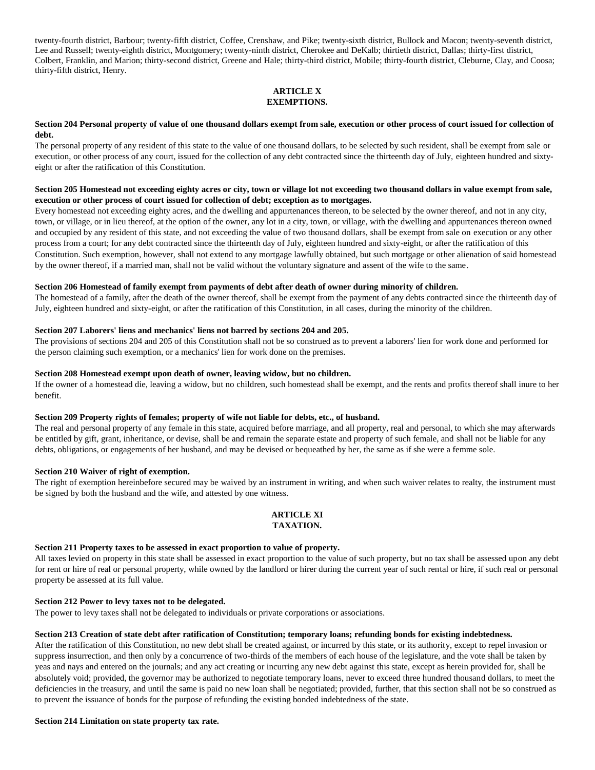twenty-fourth district, Barbour; twenty-fifth district, Coffee, Crenshaw, and Pike; twenty-sixth district, Bullock and Macon; twenty-seventh district, Lee and Russell; twenty-eighth district, Montgomery; twenty-ninth district, Cherokee and DeKalb; thirtieth district, Dallas; thirty-first district, Colbert, Franklin, and Marion; thirty-second district, Greene and Hale; thirty-third district, Mobile; thirty-fourth district, Cleburne, Clay, and Coosa; thirty-fifth district, Henry.

# **ARTICLE X EXEMPTIONS.**

## **Section 204 Personal property of value of one thousand dollars exempt from sale, execution or other process of court issued for collection of debt.**

The personal property of any resident of this state to the value of one thousand dollars, to be selected by such resident, shall be exempt from sale or execution, or other process of any court, issued for the collection of any debt contracted since the thirteenth day of July, eighteen hundred and sixtyeight or after the ratification of this Constitution.

## **Section 205 Homestead not exceeding eighty acres or city, town or village lot not exceeding two thousand dollars in value exempt from sale, execution or other process of court issued for collection of debt; exception as to mortgages.**

Every homestead not exceeding eighty acres, and the dwelling and appurtenances thereon, to be selected by the owner thereof, and not in any city, town, or village, or in lieu thereof, at the option of the owner, any lot in a city, town, or village, with the dwelling and appurtenances thereon owned and occupied by any resident of this state, and not exceeding the value of two thousand dollars, shall be exempt from sale on execution or any other process from a court; for any debt contracted since the thirteenth day of July, eighteen hundred and sixty-eight, or after the ratification of this Constitution. Such exemption, however, shall not extend to any mortgage lawfully obtained, but such mortgage or other alienation of said homestead by the owner thereof, if a married man, shall not be valid without the voluntary signature and assent of the wife to the same.

# **Section 206 Homestead of family exempt from payments of debt after death of owner during minority of children.**

The homestead of a family, after the death of the owner thereof, shall be exempt from the payment of any debts contracted since the thirteenth day of July, eighteen hundred and sixty-eight, or after the ratification of this Constitution, in all cases, during the minority of the children.

# **Section 207 Laborers' liens and mechanics' liens not barred by sections 204 and 205.**

The provisions of sections 204 and 205 of this Constitution shall not be so construed as to prevent a laborers' lien for work done and performed for the person claiming such exemption, or a mechanics' lien for work done on the premises.

# **Section 208 Homestead exempt upon death of owner, leaving widow, but no children.**

If the owner of a homestead die, leaving a widow, but no children, such homestead shall be exempt, and the rents and profits thereof shall inure to her benefit.

# **Section 209 Property rights of females; property of wife not liable for debts, etc., of husband.**

The real and personal property of any female in this state, acquired before marriage, and all property, real and personal, to which she may afterwards be entitled by gift, grant, inheritance, or devise, shall be and remain the separate estate and property of such female, and shall not be liable for any debts, obligations, or engagements of her husband, and may be devised or bequeathed by her, the same as if she were a femme sole.

# **Section 210 Waiver of right of exemption.**

The right of exemption hereinbefore secured may be waived by an instrument in writing, and when such waiver relates to realty, the instrument must be signed by both the husband and the wife, and attested by one witness.

# **ARTICLE XI TAXATION.**

# **Section 211 Property taxes to be assessed in exact proportion to value of property.**

All taxes levied on property in this state shall be assessed in exact proportion to the value of such property, but no tax shall be assessed upon any debt for rent or hire of real or personal property, while owned by the landlord or hirer during the current year of such rental or hire, if such real or personal property be assessed at its full value.

# **Section 212 Power to levy taxes not to be delegated.**

The power to levy taxes shall not be delegated to individuals or private corporations or associations.

# **Section 213 Creation of state debt after ratification of Constitution; temporary loans; refunding bonds for existing indebtedness.**

After the ratification of this Constitution, no new debt shall be created against, or incurred by this state, or its authority, except to repel invasion or suppress insurrection, and then only by a concurrence of two-thirds of the members of each house of the legislature, and the vote shall be taken by yeas and nays and entered on the journals; and any act creating or incurring any new debt against this state, except as herein provided for, shall be absolutely void; provided, the governor may be authorized to negotiate temporary loans, never to exceed three hundred thousand dollars, to meet the deficiencies in the treasury, and until the same is paid no new loan shall be negotiated; provided, further, that this section shall not be so construed as to prevent the issuance of bonds for the purpose of refunding the existing bonded indebtedness of the state.

# **Section 214 Limitation on state property tax rate.**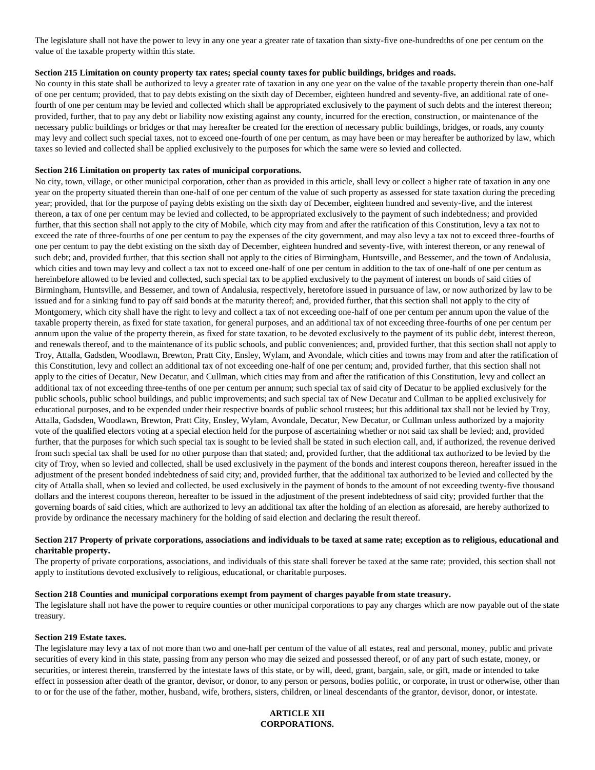The legislature shall not have the power to levy in any one year a greater rate of taxation than sixty-five one-hundredths of one per centum on the value of the taxable property within this state.

## **Section 215 Limitation on county property tax rates; special county taxes for public buildings, bridges and roads.**

No county in this state shall be authorized to levy a greater rate of taxation in any one year on the value of the taxable property therein than one-half of one per centum; provided, that to pay debts existing on the sixth day of December, eighteen hundred and seventy-five, an additional rate of onefourth of one per centum may be levied and collected which shall be appropriated exclusively to the payment of such debts and the interest thereon; provided, further, that to pay any debt or liability now existing against any county, incurred for the erection, construction, or maintenance of the necessary public buildings or bridges or that may hereafter be created for the erection of necessary public buildings, bridges, or roads, any county may levy and collect such special taxes, not to exceed one-fourth of one per centum, as may have been or may hereafter be authorized by law, which taxes so levied and collected shall be applied exclusively to the purposes for which the same were so levied and collected.

## **Section 216 Limitation on property tax rates of municipal corporations.**

No city, town, village, or other municipal corporation, other than as provided in this article, shall levy or collect a higher rate of taxation in any one year on the property situated therein than one-half of one per centum of the value of such property as assessed for state taxation during the preceding year; provided, that for the purpose of paying debts existing on the sixth day of December, eighteen hundred and seventy-five, and the interest thereon, a tax of one per centum may be levied and collected, to be appropriated exclusively to the payment of such indebtedness; and provided further, that this section shall not apply to the city of Mobile, which city may from and after the ratification of this Constitution, levy a tax not to exceed the rate of three-fourths of one per centum to pay the expenses of the city government, and may also levy a tax not to exceed three-fourths of one per centum to pay the debt existing on the sixth day of December, eighteen hundred and seventy-five, with interest thereon, or any renewal of such debt; and, provided further, that this section shall not apply to the cities of Birmingham, Huntsville, and Bessemer, and the town of Andalusia, which cities and town may levy and collect a tax not to exceed one-half of one per centum in addition to the tax of one-half of one per centum as hereinbefore allowed to be levied and collected, such special tax to be applied exclusively to the payment of interest on bonds of said cities of Birmingham, Huntsville, and Bessemer, and town of Andalusia, respectively, heretofore issued in pursuance of law, or now authorized by law to be issued and for a sinking fund to pay off said bonds at the maturity thereof; and, provided further, that this section shall not apply to the city of Montgomery, which city shall have the right to levy and collect a tax of not exceeding one-half of one per centum per annum upon the value of the taxable property therein, as fixed for state taxation, for general purposes, and an additional tax of not exceeding three-fourths of one per centum per annum upon the value of the property therein, as fixed for state taxation, to be devoted exclusively to the payment of its public debt, interest thereon, and renewals thereof, and to the maintenance of its public schools, and public conveniences; and, provided further, that this section shall not apply to Troy, Attalla, Gadsden, Woodlawn, Brewton, Pratt City, Ensley, Wylam, and Avondale, which cities and towns may from and after the ratification of this Constitution, levy and collect an additional tax of not exceeding one-half of one per centum; and, provided further, that this section shall not apply to the cities of Decatur, New Decatur, and Cullman, which cities may from and after the ratification of this Constitution, levy and collect an additional tax of not exceeding three-tenths of one per centum per annum; such special tax of said city of Decatur to be applied exclusively for the public schools, public school buildings, and public improvements; and such special tax of New Decatur and Cullman to be applied exclusively for educational purposes, and to be expended under their respective boards of public school trustees; but this additional tax shall not be levied by Troy, Attalla, Gadsden, Woodlawn, Brewton, Pratt City, Ensley, Wylam, Avondale, Decatur, New Decatur, or Cullman unless authorized by a majority vote of the qualified electors voting at a special election held for the purpose of ascertaining whether or not said tax shall be levied; and, provided further, that the purposes for which such special tax is sought to be levied shall be stated in such election call, and, if authorized, the revenue derived from such special tax shall be used for no other purpose than that stated; and, provided further, that the additional tax authorized to be levied by the city of Troy, when so levied and collected, shall be used exclusively in the payment of the bonds and interest coupons thereon, hereafter issued in the adjustment of the present bonded indebtedness of said city; and, provided further, that the additional tax authorized to be levied and collected by the city of Attalla shall, when so levied and collected, be used exclusively in the payment of bonds to the amount of not exceeding twenty-five thousand dollars and the interest coupons thereon, hereafter to be issued in the adjustment of the present indebtedness of said city; provided further that the governing boards of said cities, which are authorized to levy an additional tax after the holding of an election as aforesaid, are hereby authorized to provide by ordinance the necessary machinery for the holding of said election and declaring the result thereof.

## **Section 217 Property of private corporations, associations and individuals to be taxed at same rate; exception as to religious, educational and charitable property.**

The property of private corporations, associations, and individuals of this state shall forever be taxed at the same rate; provided, this section shall not apply to institutions devoted exclusively to religious, educational, or charitable purposes.

#### **Section 218 Counties and municipal corporations exempt from payment of charges payable from state treasury.**

The legislature shall not have the power to require counties or other municipal corporations to pay any charges which are now payable out of the state treasury.

## **Section 219 Estate taxes.**

The legislature may levy a tax of not more than two and one-half per centum of the value of all estates, real and personal, money, public and private securities of every kind in this state, passing from any person who may die seized and possessed thereof, or of any part of such estate, money, or securities, or interest therein, transferred by the intestate laws of this state, or by will, deed, grant, bargain, sale, or gift, made or intended to take effect in possession after death of the grantor, devisor, or donor, to any person or persons, bodies politic, or corporate, in trust or otherwise, other than to or for the use of the father, mother, husband, wife, brothers, sisters, children, or lineal descendants of the grantor, devisor, donor, or intestate.

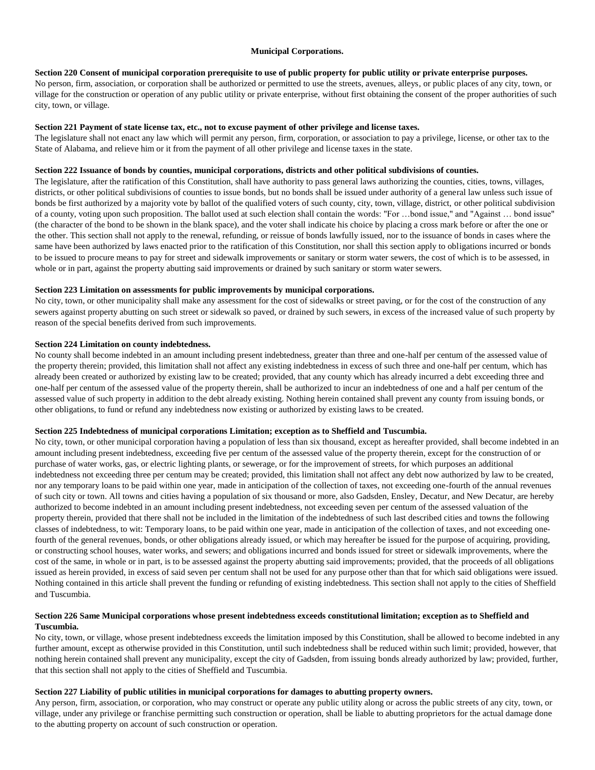## **Municipal Corporations.**

# **Section 220 Consent of municipal corporation prerequisite to use of public property for public utility or private enterprise purposes.**

No person, firm, association, or corporation shall be authorized or permitted to use the streets, avenues, alleys, or public places of any city, town, or village for the construction or operation of any public utility or private enterprise, without first obtaining the consent of the proper authorities of such city, town, or village.

## **Section 221 Payment of state license tax, etc., not to excuse payment of other privilege and license taxes.**

The legislature shall not enact any law which will permit any person, firm, corporation, or association to pay a privilege, license, or other tax to the State of Alabama, and relieve him or it from the payment of all other privilege and license taxes in the state.

## **Section 222 Issuance of bonds by counties, municipal corporations, districts and other political subdivisions of counties.**

The legislature, after the ratification of this Constitution, shall have authority to pass general laws authorizing the counties, cities, towns, villages, districts, or other political subdivisions of counties to issue bonds, but no bonds shall be issued under authority of a general law unless such issue of bonds be first authorized by a majority vote by ballot of the qualified voters of such county, city, town, village, district, or other political subdivision of a county, voting upon such proposition. The ballot used at such election shall contain the words: "For …bond issue," and "Against … bond issue" (the character of the bond to be shown in the blank space), and the voter shall indicate his choice by placing a cross mark before or after the one or the other. This section shall not apply to the renewal, refunding, or reissue of bonds lawfully issued, nor to the issuance of bonds in cases where the same have been authorized by laws enacted prior to the ratification of this Constitution, nor shall this section apply to obligations incurred or bonds to be issued to procure means to pay for street and sidewalk improvements or sanitary or storm water sewers, the cost of which is to be assessed, in whole or in part, against the property abutting said improvements or drained by such sanitary or storm water sewers.

## **Section 223 Limitation on assessments for public improvements by municipal corporations.**

No city, town, or other municipality shall make any assessment for the cost of sidewalks or street paving, or for the cost of the construction of any sewers against property abutting on such street or sidewalk so paved, or drained by such sewers, in excess of the increased value of such property by reason of the special benefits derived from such improvements.

## **Section 224 Limitation on county indebtedness.**

No county shall become indebted in an amount including present indebtedness, greater than three and one-half per centum of the assessed value of the property therein; provided, this limitation shall not affect any existing indebtedness in excess of such three and one-half per centum, which has already been created or authorized by existing law to be created; provided, that any county which has already incurred a debt exceeding three and one-half per centum of the assessed value of the property therein, shall be authorized to incur an indebtedness of one and a half per centum of the assessed value of such property in addition to the debt already existing. Nothing herein contained shall prevent any county from issuing bonds, or other obligations, to fund or refund any indebtedness now existing or authorized by existing laws to be created.

# **Section 225 Indebtedness of municipal corporations Limitation; exception as to Sheffield and Tuscumbia.**

No city, town, or other municipal corporation having a population of less than six thousand, except as hereafter provided, shall become indebted in an amount including present indebtedness, exceeding five per centum of the assessed value of the property therein, except for the construction of or purchase of water works, gas, or electric lighting plants, or sewerage, or for the improvement of streets, for which purposes an additional indebtedness not exceeding three per centum may be created; provided, this limitation shall not affect any debt now authorized by law to be created, nor any temporary loans to be paid within one year, made in anticipation of the collection of taxes, not exceeding one-fourth of the annual revenues of such city or town. All towns and cities having a population of six thousand or more, also Gadsden, Ensley, Decatur, and New Decatur, are hereby authorized to become indebted in an amount including present indebtedness, not exceeding seven per centum of the assessed valuation of the property therein, provided that there shall not be included in the limitation of the indebtedness of such last described cities and towns the following classes of indebtedness, to wit: Temporary loans, to be paid within one year, made in anticipation of the collection of taxes, and not exceeding onefourth of the general revenues, bonds, or other obligations already issued, or which may hereafter be issued for the purpose of acquiring, providing, or constructing school houses, water works, and sewers; and obligations incurred and bonds issued for street or sidewalk improvements, where the cost of the same, in whole or in part, is to be assessed against the property abutting said improvements; provided, that the proceeds of all obligations issued as herein provided, in excess of said seven per centum shall not be used for any purpose other than that for which said obligations were issued. Nothing contained in this article shall prevent the funding or refunding of existing indebtedness. This section shall not apply to the cities of Sheffield and Tuscumbia.

## **Section 226 Same Municipal corporations whose present indebtedness exceeds constitutional limitation; exception as to Sheffield and Tuscumbia.**

No city, town, or village, whose present indebtedness exceeds the limitation imposed by this Constitution, shall be allowed to become indebted in any further amount, except as otherwise provided in this Constitution, until such indebtedness shall be reduced within such limit; provided, however, that nothing herein contained shall prevent any municipality, except the city of Gadsden, from issuing bonds already authorized by law; provided, further, that this section shall not apply to the cities of Sheffield and Tuscumbia.

# **Section 227 Liability of public utilities in municipal corporations for damages to abutting property owners.**

Any person, firm, association, or corporation, who may construct or operate any public utility along or across the public streets of any city, town, or village, under any privilege or franchise permitting such construction or operation, shall be liable to abutting proprietors for the actual damage done to the abutting property on account of such construction or operation.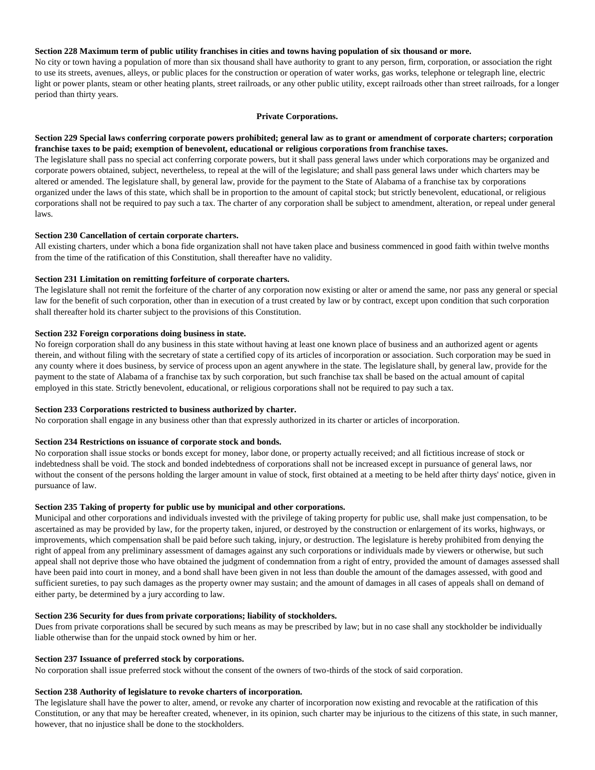#### **Section 228 Maximum term of public utility franchises in cities and towns having population of six thousand or more.**

No city or town having a population of more than six thousand shall have authority to grant to any person, firm, corporation, or association the right to use its streets, avenues, alleys, or public places for the construction or operation of water works, gas works, telephone or telegraph line, electric light or power plants, steam or other heating plants, street railroads, or any other public utility, except railroads other than street railroads, for a longer period than thirty years.

#### **Private Corporations.**

## **Section 229 Special laws conferring corporate powers prohibited; general law as to grant or amendment of corporate charters; corporation franchise taxes to be paid; exemption of benevolent, educational or religious corporations from franchise taxes.**

The legislature shall pass no special act conferring corporate powers, but it shall pass general laws under which corporations may be organized and corporate powers obtained, subject, nevertheless, to repeal at the will of the legislature; and shall pass general laws under which charters may be altered or amended. The legislature shall, by general law, provide for the payment to the State of Alabama of a franchise tax by corporations organized under the laws of this state, which shall be in proportion to the amount of capital stock; but strictly benevolent, educational, or religious corporations shall not be required to pay such a tax. The charter of any corporation shall be subject to amendment, alteration, or repeal under general laws.

#### **Section 230 Cancellation of certain corporate charters.**

All existing charters, under which a bona fide organization shall not have taken place and business commenced in good faith within twelve months from the time of the ratification of this Constitution, shall thereafter have no validity.

#### **Section 231 Limitation on remitting forfeiture of corporate charters.**

The legislature shall not remit the forfeiture of the charter of any corporation now existing or alter or amend the same, nor pass any general or special law for the benefit of such corporation, other than in execution of a trust created by law or by contract, except upon condition that such corporation shall thereafter hold its charter subject to the provisions of this Constitution.

#### **Section 232 Foreign corporations doing business in state.**

No foreign corporation shall do any business in this state without having at least one known place of business and an authorized agent or agents therein, and without filing with the secretary of state a certified copy of its articles of incorporation or association. Such corporation may be sued in any county where it does business, by service of process upon an agent anywhere in the state. The legislature shall, by general law, provide for the payment to the state of Alabama of a franchise tax by such corporation, but such franchise tax shall be based on the actual amount of capital employed in this state. Strictly benevolent, educational, or religious corporations shall not be required to pay such a tax.

#### **Section 233 Corporations restricted to business authorized by charter.**

No corporation shall engage in any business other than that expressly authorized in its charter or articles of incorporation.

#### **Section 234 Restrictions on issuance of corporate stock and bonds.**

No corporation shall issue stocks or bonds except for money, labor done, or property actually received; and all fictitious increase of stock or indebtedness shall be void. The stock and bonded indebtedness of corporations shall not be increased except in pursuance of general laws, nor without the consent of the persons holding the larger amount in value of stock, first obtained at a meeting to be held after thirty days' notice, given in pursuance of law.

#### **Section 235 Taking of property for public use by municipal and other corporations.**

Municipal and other corporations and individuals invested with the privilege of taking property for public use, shall make just compensation, to be ascertained as may be provided by law, for the property taken, injured, or destroyed by the construction or enlargement of its works, highways, or improvements, which compensation shall be paid before such taking, injury, or destruction. The legislature is hereby prohibited from denying the right of appeal from any preliminary assessment of damages against any such corporations or individuals made by viewers or otherwise, but such appeal shall not deprive those who have obtained the judgment of condemnation from a right of entry, provided the amount of damages assessed shall have been paid into court in money, and a bond shall have been given in not less than double the amount of the damages assessed, with good and sufficient sureties, to pay such damages as the property owner may sustain; and the amount of damages in all cases of appeals shall on demand of either party, be determined by a jury according to law.

## **Section 236 Security for dues from private corporations; liability of stockholders.**

Dues from private corporations shall be secured by such means as may be prescribed by law; but in no case shall any stockholder be individually liable otherwise than for the unpaid stock owned by him or her.

#### **Section 237 Issuance of preferred stock by corporations.**

No corporation shall issue preferred stock without the consent of the owners of two-thirds of the stock of said corporation.

#### **Section 238 Authority of legislature to revoke charters of incorporation.**

The legislature shall have the power to alter, amend, or revoke any charter of incorporation now existing and revocable at the ratification of this Constitution, or any that may be hereafter created, whenever, in its opinion, such charter may be injurious to the citizens of this state, in such manner, however, that no injustice shall be done to the stockholders.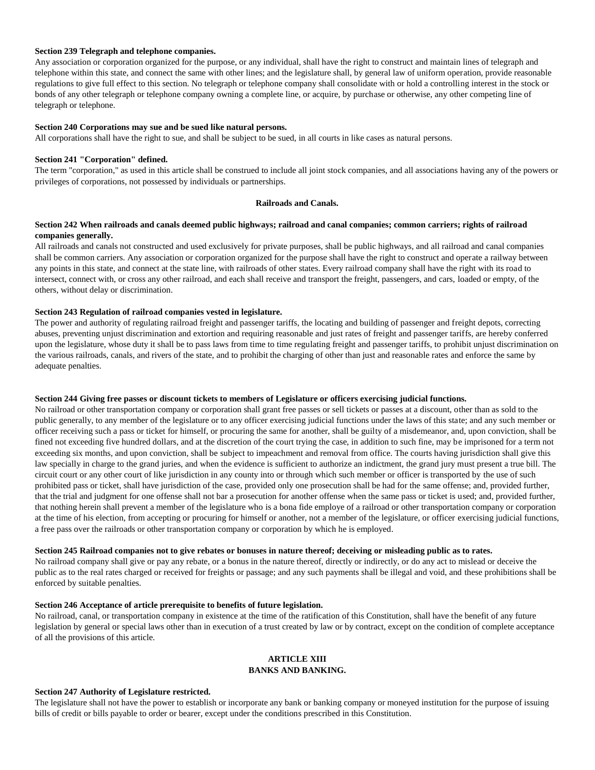#### **Section 239 Telegraph and telephone companies.**

Any association or corporation organized for the purpose, or any individual, shall have the right to construct and maintain lines of telegraph and telephone within this state, and connect the same with other lines; and the legislature shall, by general law of uniform operation, provide reasonable regulations to give full effect to this section. No telegraph or telephone company shall consolidate with or hold a controlling interest in the stock or bonds of any other telegraph or telephone company owning a complete line, or acquire, by purchase or otherwise, any other competing line of telegraph or telephone.

## **Section 240 Corporations may sue and be sued like natural persons.**

All corporations shall have the right to sue, and shall be subject to be sued, in all courts in like cases as natural persons.

#### **Section 241 "Corporation" defined.**

The term "corporation," as used in this article shall be construed to include all joint stock companies, and all associations having any of the powers or privileges of corporations, not possessed by individuals or partnerships.

#### **Railroads and Canals.**

# **Section 242 When railroads and canals deemed public highways; railroad and canal companies; common carriers; rights of railroad companies generally.**

All railroads and canals not constructed and used exclusively for private purposes, shall be public highways, and all railroad and canal companies shall be common carriers. Any association or corporation organized for the purpose shall have the right to construct and operate a railway between any points in this state, and connect at the state line, with railroads of other states. Every railroad company shall have the right with its road to intersect, connect with, or cross any other railroad, and each shall receive and transport the freight, passengers, and cars, loaded or empty, of the others, without delay or discrimination.

#### **Section 243 Regulation of railroad companies vested in legislature.**

The power and authority of regulating railroad freight and passenger tariffs, the locating and building of passenger and freight depots, correcting abuses, preventing unjust discrimination and extortion and requiring reasonable and just rates of freight and passenger tariffs, are hereby conferred upon the legislature, whose duty it shall be to pass laws from time to time regulating freight and passenger tariffs, to prohibit unjust discrimination on the various railroads, canals, and rivers of the state, and to prohibit the charging of other than just and reasonable rates and enforce the same by adequate penalties.

#### **Section 244 Giving free passes or discount tickets to members of Legislature or officers exercising judicial functions.**

No railroad or other transportation company or corporation shall grant free passes or sell tickets or passes at a discount, other than as sold to the public generally, to any member of the legislature or to any officer exercising judicial functions under the laws of this state; and any such member or officer receiving such a pass or ticket for himself, or procuring the same for another, shall be guilty of a misdemeanor, and, upon conviction, shall be fined not exceeding five hundred dollars, and at the discretion of the court trying the case, in addition to such fine, may be imprisoned for a term not exceeding six months, and upon conviction, shall be subject to impeachment and removal from office. The courts having jurisdiction shall give this law specially in charge to the grand juries, and when the evidence is sufficient to authorize an indictment, the grand jury must present a true bill. The circuit court or any other court of like jurisdiction in any county into or through which such member or officer is transported by the use of such prohibited pass or ticket, shall have jurisdiction of the case, provided only one prosecution shall be had for the same offense; and, provided further, that the trial and judgment for one offense shall not bar a prosecution for another offense when the same pass or ticket is used; and, provided further, that nothing herein shall prevent a member of the legislature who is a bona fide employe of a railroad or other transportation company or corporation at the time of his election, from accepting or procuring for himself or another, not a member of the legislature, or officer exercising judicial functions, a free pass over the railroads or other transportation company or corporation by which he is employed.

## **Section 245 Railroad companies not to give rebates or bonuses in nature thereof; deceiving or misleading public as to rates.**

No railroad company shall give or pay any rebate, or a bonus in the nature thereof, directly or indirectly, or do any act to mislead or deceive the public as to the real rates charged or received for freights or passage; and any such payments shall be illegal and void, and these prohibitions shall be enforced by suitable penalties.

## **Section 246 Acceptance of article prerequisite to benefits of future legislation.**

No railroad, canal, or transportation company in existence at the time of the ratification of this Constitution, shall have the benefit of any future legislation by general or special laws other than in execution of a trust created by law or by contract, except on the condition of complete acceptance of all the provisions of this article.

## **ARTICLE XIII BANKS AND BANKING.**

#### **Section 247 Authority of Legislature restricted.**

The legislature shall not have the power to establish or incorporate any bank or banking company or moneyed institution for the purpose of issuing bills of credit or bills payable to order or bearer, except under the conditions prescribed in this Constitution.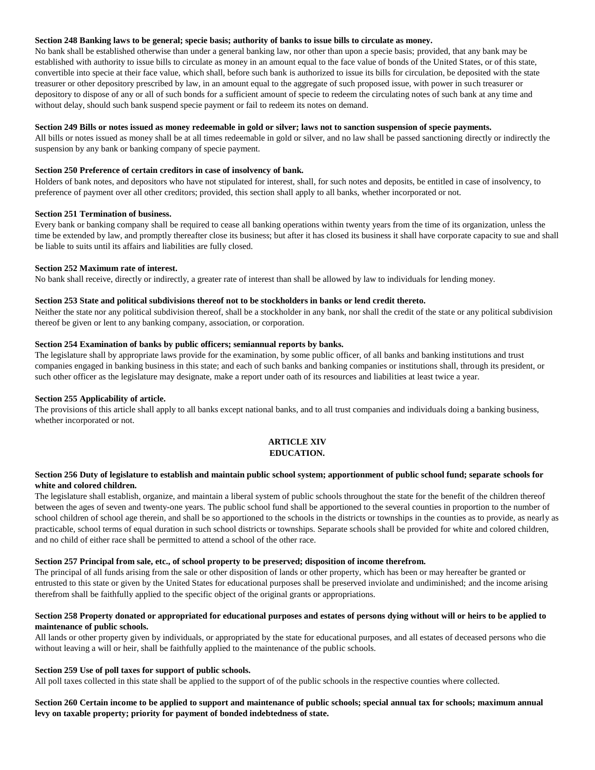#### **Section 248 Banking laws to be general; specie basis; authority of banks to issue bills to circulate as money.**

No bank shall be established otherwise than under a general banking law, nor other than upon a specie basis; provided, that any bank may be established with authority to issue bills to circulate as money in an amount equal to the face value of bonds of the United States, or of this state, convertible into specie at their face value, which shall, before such bank is authorized to issue its bills for circulation, be deposited with the state treasurer or other depository prescribed by law, in an amount equal to the aggregate of such proposed issue, with power in such treasurer or depository to dispose of any or all of such bonds for a sufficient amount of specie to redeem the circulating notes of such bank at any time and without delay, should such bank suspend specie payment or fail to redeem its notes on demand.

## **Section 249 Bills or notes issued as money redeemable in gold or silver; laws not to sanction suspension of specie payments.**

All bills or notes issued as money shall be at all times redeemable in gold or silver, and no law shall be passed sanctioning directly or indirectly the suspension by any bank or banking company of specie payment.

#### **Section 250 Preference of certain creditors in case of insolvency of bank.**

Holders of bank notes, and depositors who have not stipulated for interest, shall, for such notes and deposits, be entitled in case of insolvency, to preference of payment over all other creditors; provided, this section shall apply to all banks, whether incorporated or not.

## **Section 251 Termination of business.**

Every bank or banking company shall be required to cease all banking operations within twenty years from the time of its organization, unless the time be extended by law, and promptly thereafter close its business; but after it has closed its business it shall have corporate capacity to sue and shall be liable to suits until its affairs and liabilities are fully closed.

#### **Section 252 Maximum rate of interest.**

No bank shall receive, directly or indirectly, a greater rate of interest than shall be allowed by law to individuals for lending money.

#### **Section 253 State and political subdivisions thereof not to be stockholders in banks or lend credit thereto.**

Neither the state nor any political subdivision thereof, shall be a stockholder in any bank, nor shall the credit of the state or any political subdivision thereof be given or lent to any banking company, association, or corporation.

#### **Section 254 Examination of banks by public officers; semiannual reports by banks.**

The legislature shall by appropriate laws provide for the examination, by some public officer, of all banks and banking institutions and trust companies engaged in banking business in this state; and each of such banks and banking companies or institutions shall, through its president, or such other officer as the legislature may designate, make a report under oath of its resources and liabilities at least twice a year.

#### **Section 255 Applicability of article.**

The provisions of this article shall apply to all banks except national banks, and to all trust companies and individuals doing a banking business, whether incorporated or not.

#### **ARTICLE XIV EDUCATION.**

# **Section 256 Duty of legislature to establish and maintain public school system; apportionment of public school fund; separate schools for white and colored children.**

The legislature shall establish, organize, and maintain a liberal system of public schools throughout the state for the benefit of the children thereof between the ages of seven and twenty-one years. The public school fund shall be apportioned to the several counties in proportion to the number of school children of school age therein, and shall be so apportioned to the schools in the districts or townships in the counties as to provide, as nearly as practicable, school terms of equal duration in such school districts or townships. Separate schools shall be provided for white and colored children, and no child of either race shall be permitted to attend a school of the other race.

#### **Section 257 Principal from sale, etc., of school property to be preserved; disposition of income therefrom.**

The principal of all funds arising from the sale or other disposition of lands or other property, which has been or may hereafter be granted or entrusted to this state or given by the United States for educational purposes shall be preserved inviolate and undiminished; and the income arising therefrom shall be faithfully applied to the specific object of the original grants or appropriations.

## **Section 258 Property donated or appropriated for educational purposes and estates of persons dying without will or heirs to be applied to maintenance of public schools.**

All lands or other property given by individuals, or appropriated by the state for educational purposes, and all estates of deceased persons who die without leaving a will or heir, shall be faithfully applied to the maintenance of the public schools.

## **Section 259 Use of poll taxes for support of public schools.**

All poll taxes collected in this state shall be applied to the support of of the public schools in the respective counties where collected.

## **Section 260 Certain income to be applied to support and maintenance of public schools; special annual tax for schools; maximum annual levy on taxable property; priority for payment of bonded indebtedness of state.**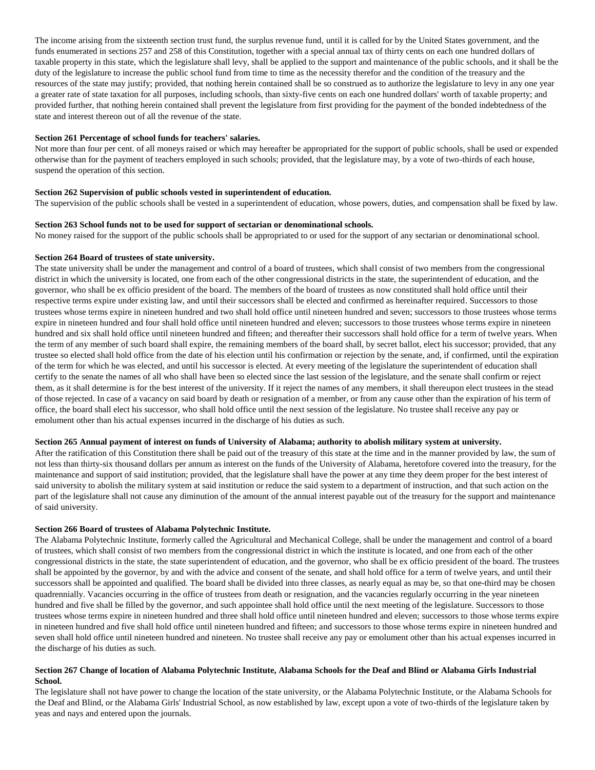The income arising from the sixteenth section trust fund, the surplus revenue fund, until it is called for by the United States government, and the funds enumerated in sections 257 and 258 of this Constitution, together with a special annual tax of thirty cents on each one hundred dollars of taxable property in this state, which the legislature shall levy, shall be applied to the support and maintenance of the public schools, and it shall be the duty of the legislature to increase the public school fund from time to time as the necessity therefor and the condition of the treasury and the resources of the state may justify; provided, that nothing herein contained shall be so construed as to authorize the legislature to levy in any one year a greater rate of state taxation for all purposes, including schools, than sixty-five cents on each one hundred dollars' worth of taxable property; and provided further, that nothing herein contained shall prevent the legislature from first providing for the payment of the bonded indebtedness of the state and interest thereon out of all the revenue of the state.

## **Section 261 Percentage of school funds for teachers' salaries.**

Not more than four per cent. of all moneys raised or which may hereafter be appropriated for the support of public schools, shall be used or expended otherwise than for the payment of teachers employed in such schools; provided, that the legislature may, by a vote of two-thirds of each house, suspend the operation of this section.

## **Section 262 Supervision of public schools vested in superintendent of education.**

The supervision of the public schools shall be vested in a superintendent of education, whose powers, duties, and compensation shall be fixed by law.

## **Section 263 School funds not to be used for support of sectarian or denominational schools.**

No money raised for the support of the public schools shall be appropriated to or used for the support of any sectarian or denominational school.

## **Section 264 Board of trustees of state university.**

The state university shall be under the management and control of a board of trustees, which shall consist of two members from the congressional district in which the university is located, one from each of the other congressional districts in the state, the superintendent of education, and the governor, who shall be ex officio president of the board. The members of the board of trustees as now constituted shall hold office until their respective terms expire under existing law, and until their successors shall be elected and confirmed as hereinafter required. Successors to those trustees whose terms expire in nineteen hundred and two shall hold office until nineteen hundred and seven; successors to those trustees whose terms expire in nineteen hundred and four shall hold office until nineteen hundred and eleven; successors to those trustees whose terms expire in nineteen hundred and six shall hold office until nineteen hundred and fifteen; and thereafter their successors shall hold office for a term of twelve years. When the term of any member of such board shall expire, the remaining members of the board shall, by secret ballot, elect his successor; provided, that any trustee so elected shall hold office from the date of his election until his confirmation or rejection by the senate, and, if confirmed, until the expiration of the term for which he was elected, and until his successor is elected. At every meeting of the legislature the superintendent of education shall certify to the senate the names of all who shall have been so elected since the last session of the legislature, and the senate shall confirm or reject them, as it shall determine is for the best interest of the university. If it reject the names of any members, it shall thereupon elect trustees in the stead of those rejected. In case of a vacancy on said board by death or resignation of a member, or from any cause other than the expiration of his term of office, the board shall elect his successor, who shall hold office until the next session of the legislature. No trustee shall receive any pay or emolument other than his actual expenses incurred in the discharge of his duties as such.

#### **Section 265 Annual payment of interest on funds of University of Alabama; authority to abolish military system at university.**

After the ratification of this Constitution there shall be paid out of the treasury of this state at the time and in the manner provided by law, the sum of not less than thirty-six thousand dollars per annum as interest on the funds of the University of Alabama, heretofore covered into the treasury, for the maintenance and support of said institution; provided, that the legislature shall have the power at any time they deem proper for the best interest of said university to abolish the military system at said institution or reduce the said system to a department of instruction, and that such action on the part of the legislature shall not cause any diminution of the amount of the annual interest payable out of the treasury for the support and maintenance of said university.

## **Section 266 Board of trustees of Alabama Polytechnic Institute.**

The Alabama Polytechnic Institute, formerly called the Agricultural and Mechanical College, shall be under the management and control of a board of trustees, which shall consist of two members from the congressional district in which the institute is located, and one from each of the other congressional districts in the state, the state superintendent of education, and the governor, who shall be ex officio president of the board. The trustees shall be appointed by the governor, by and with the advice and consent of the senate, and shall hold office for a term of twelve years, and until their successors shall be appointed and qualified. The board shall be divided into three classes, as nearly equal as may be, so that one-third may be chosen quadrennially. Vacancies occurring in the office of trustees from death or resignation, and the vacancies regularly occurring in the year nineteen hundred and five shall be filled by the governor, and such appointee shall hold office until the next meeting of the legislature. Successors to those trustees whose terms expire in nineteen hundred and three shall hold office until nineteen hundred and eleven; successors to those whose terms expire in nineteen hundred and five shall hold office until nineteen hundred and fifteen; and successors to those whose terms expire in nineteen hundred and seven shall hold office until nineteen hundred and nineteen. No trustee shall receive any pay or emolument other than his actual expenses incurred in the discharge of his duties as such.

#### **Section 267 Change of location of Alabama Polytechnic Institute, Alabama Schools for the Deaf and Blind or Alabama Girls Industrial School.**

The legislature shall not have power to change the location of the state university, or the Alabama Polytechnic Institute, or the Alabama Schools for the Deaf and Blind, or the Alabama Girls' Industrial School, as now established by law, except upon a vote of two-thirds of the legislature taken by yeas and nays and entered upon the journals.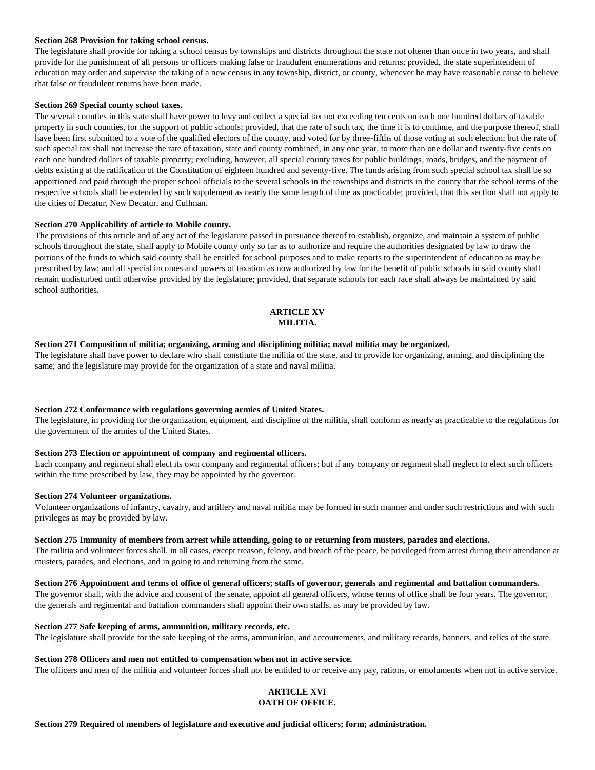#### **Section 268 Provision for taking school census.**

The legislature shall provide for taking a school census by townships and districts throughout the state not oftener than once in two years, and shall provide for the punishment of all persons or officers making false or fraudulent enumerations and returns; provided, the state superintendent of education may order and supervise the taking of a new census in any township, district, or county, whenever he may have reasonable cause to believe that false or fraudulent returns have been made.

## **Section 269 Special county school taxes.**

The several counties in this state shall have power to levy and collect a special tax not exceeding ten cents on each one hundred dollars of taxable property in such counties, for the support of public schools; provided, that the rate of such tax, the time it is to continue, and the purpose thereof, shall have been first submitted to a vote of the qualified electors of the county, and voted for by three-fifths of those voting at such election; but the rate of such special tax shall not increase the rate of taxation, state and county combined, in any one year, to more than one dollar and twenty-five cents on each one hundred dollars of taxable property; excluding, however, all special county taxes for public buildings, roads, bridges, and the payment of debts existing at the ratification of the Constitution of eighteen hundred and seventy-five. The funds arising from such special school tax shall be so apportioned and paid through the proper school officials to the several schools in the townships and districts in the county that the school terms of the respective schools shall be extended by such supplement as nearly the same length of time as practicable; provided, that this section shall not apply to the cities of Decatur, New Decatur, and Cullman.

#### **Section 270 Applicability of article to Mobile county.**

The provisions of this article and of any act of the legislature passed in pursuance thereof to establish, organize, and maintain a system of public schools throughout the state, shall apply to Mobile county only so far as to authorize and require the authorities designated by law to draw the portions of the funds to which said county shall be entitled for school purposes and to make reports to the superintendent of education as may be prescribed by law; and all special incomes and powers of taxation as now authorized by law for the benefit of public schools in said county shall remain undisturbed until otherwise provided by the legislature; provided, that separate schools for each race shall always be maintained by said school authorities.

## **ARTICLE XV MILITIA.**

#### **Section 271 Composition of militia; organizing, arming and disciplining militia; naval militia may be organized.**

The legislature shall have power to declare who shall constitute the militia of the state, and to provide for organizing, arming, and disciplining the same; and the legislature may provide for the organization of a state and naval militia.

#### **Section 272 Conformance with regulations governing armies of United States.**

The legislature, in providing for the organization, equipment, and discipline of the militia, shall conform as nearly as practicable to the regulations for the government of the armies of the United States.

## **Section 273 Election or appointment of company and regimental officers.**

Each company and regiment shall elect its own company and regimental officers; but if any company or regiment shall neglect to elect such officers within the time prescribed by law, they may be appointed by the governor.

#### **Section 274 Volunteer organizations.**

Volunteer organizations of infantry, cavalry, and artillery and naval militia may be formed in such manner and under such restrictions and with such privileges as may be provided by law.

#### **Section 275 Immunity of members from arrest while attending, going to or returning from musters, parades and elections.**

The militia and volunteer forces shall, in all cases, except treason, felony, and breach of the peace, be privileged from arrest during their attendance at musters, parades, and elections, and in going to and returning from the same.

## **Section 276 Appointment and terms of office of general officers; staffs of governor, generals and regimental and battalion commanders.**

The governor shall, with the advice and consent of the senate, appoint all general officers, whose terms of office shall be four years. The governor, the generals and regimental and battalion commanders shall appoint their own staffs, as may be provided by law.

# **Section 277 Safe keeping of arms, ammunition, military records, etc.**

The legislature shall provide for the safe keeping of the arms, ammunition, and accoutrements, and military records, banners, and relics of the state.

#### **Section 278 Officers and men not entitled to compensation when not in active service.**

The officers and men of the militia and volunteer forces shall not be entitled to or receive any pay, rations, or emoluments when not in active service.

## **ARTICLE XVI OATH OF OFFICE.**

**Section 279 Required of members of legislature and executive and judicial officers; form; administration.**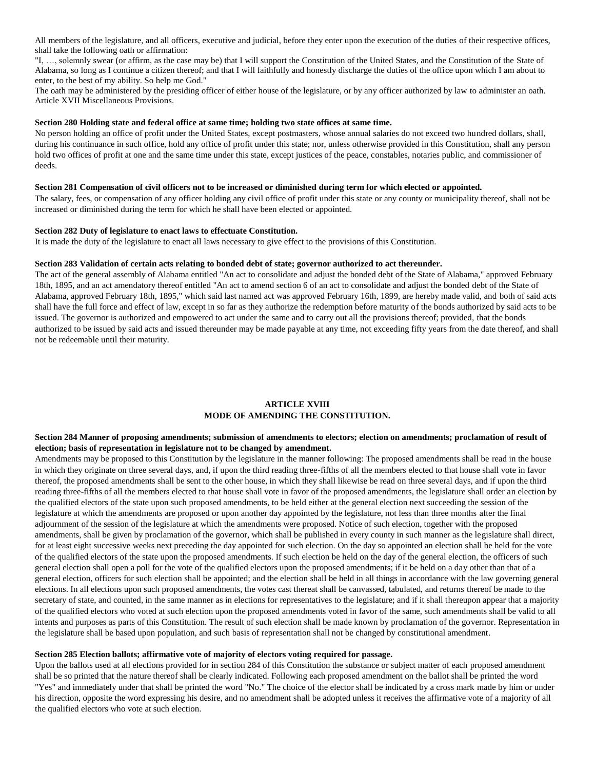All members of the legislature, and all officers, executive and judicial, before they enter upon the execution of the duties of their respective offices, shall take the following oath or affirmation:

"I, …, solemnly swear (or affirm, as the case may be) that I will support the Constitution of the United States, and the Constitution of the State of Alabama, so long as I continue a citizen thereof; and that I will faithfully and honestly discharge the duties of the office upon which I am about to enter, to the best of my ability. So help me God."

The oath may be administered by the presiding officer of either house of the legislature, or by any officer authorized by law to administer an oath. Article XVII Miscellaneous Provisions.

#### **Section 280 Holding state and federal office at same time; holding two state offices at same time.**

No person holding an office of profit under the United States, except postmasters, whose annual salaries do not exceed two hundred dollars, shall, during his continuance in such office, hold any office of profit under this state; nor, unless otherwise provided in this Constitution, shall any person hold two offices of profit at one and the same time under this state, except justices of the peace, constables, notaries public, and commissioner of deeds.

## **Section 281 Compensation of civil officers not to be increased or diminished during term for which elected or appointed.**

The salary, fees, or compensation of any officer holding any civil office of profit under this state or any county or municipality thereof, shall not be increased or diminished during the term for which he shall have been elected or appointed.

## **Section 282 Duty of legislature to enact laws to effectuate Constitution.**

It is made the duty of the legislature to enact all laws necessary to give effect to the provisions of this Constitution.

#### **Section 283 Validation of certain acts relating to bonded debt of state; governor authorized to act thereunder.**

The act of the general assembly of Alabama entitled "An act to consolidate and adjust the bonded debt of the State of Alabama," approved February 18th, 1895, and an act amendatory thereof entitled "An act to amend section 6 of an act to consolidate and adjust the bonded debt of the State of Alabama, approved February 18th, 1895," which said last named act was approved February 16th, 1899, are hereby made valid, and both of said acts shall have the full force and effect of law, except in so far as they authorize the redemption before maturity of the bonds authorized by said acts to be issued. The governor is authorized and empowered to act under the same and to carry out all the provisions thereof; provided, that the bonds authorized to be issued by said acts and issued thereunder may be made payable at any time, not exceeding fifty years from the date thereof, and shall not be redeemable until their maturity.

# **ARTICLE XVIII MODE OF AMENDING THE CONSTITUTION.**

## **Section 284 Manner of proposing amendments; submission of amendments to electors; election on amendments; proclamation of result of election; basis of representation in legislature not to be changed by amendment.**

Amendments may be proposed to this Constitution by the legislature in the manner following: The proposed amendments shall be read in the house in which they originate on three several days, and, if upon the third reading three-fifths of all the members elected to that house shall vote in favor thereof, the proposed amendments shall be sent to the other house, in which they shall likewise be read on three several days, and if upon the third reading three-fifths of all the members elected to that house shall vote in favor of the proposed amendments, the legislature shall order an election by the qualified electors of the state upon such proposed amendments, to be held either at the general election next succeeding the session of the legislature at which the amendments are proposed or upon another day appointed by the legislature, not less than three months after the final adjournment of the session of the legislature at which the amendments were proposed. Notice of such election, together with the proposed amendments, shall be given by proclamation of the governor, which shall be published in every county in such manner as the legislature shall direct, for at least eight successive weeks next preceding the day appointed for such election. On the day so appointed an election shall be held for the vote of the qualified electors of the state upon the proposed amendments. If such election be held on the day of the general election, the officers of such general election shall open a poll for the vote of the qualified electors upon the proposed amendments; if it be held on a day other than that of a general election, officers for such election shall be appointed; and the election shall be held in all things in accordance with the law governing general elections. In all elections upon such proposed amendments, the votes cast thereat shall be canvassed, tabulated, and returns thereof be made to the secretary of state, and counted, in the same manner as in elections for representatives to the legislature; and if it shall thereupon appear that a majority of the qualified electors who voted at such election upon the proposed amendments voted in favor of the same, such amendments shall be valid to all intents and purposes as parts of this Constitution. The result of such election shall be made known by proclamation of the governor. Representation in the legislature shall be based upon population, and such basis of representation shall not be changed by constitutional amendment.

## **Section 285 Election ballots; affirmative vote of majority of electors voting required for passage.**

Upon the ballots used at all elections provided for in section 284 of this Constitution the substance or subject matter of each proposed amendment shall be so printed that the nature thereof shall be clearly indicated. Following each proposed amendment on the ballot shall be printed the word "Yes" and immediately under that shall be printed the word "No." The choice of the elector shall be indicated by a cross mark made by him or under his direction, opposite the word expressing his desire, and no amendment shall be adopted unless it receives the affirmative vote of a majority of all the qualified electors who vote at such election.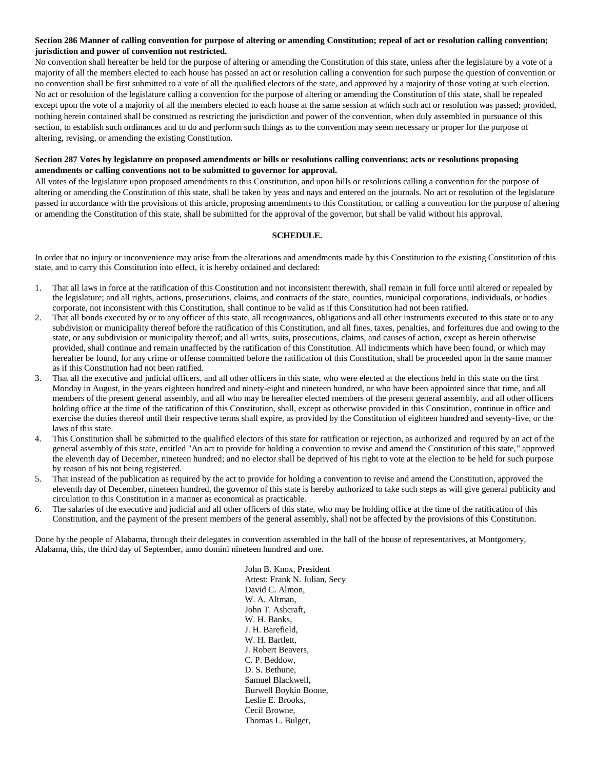## **Section 286 Manner of calling convention for purpose of altering or amending Constitution; repeal of act or resolution calling convention; jurisdiction and power of convention not restricted.**

No convention shall hereafter be held for the purpose of altering or amending the Constitution of this state, unless after the legislature by a vote of a majority of all the members elected to each house has passed an act or resolution calling a convention for such purpose the question of convention or no convention shall be first submitted to a vote of all the qualified electors of the state, and approved by a majority of those voting at such election. No act or resolution of the legislature calling a convention for the purpose of altering or amending the Constitution of this state, shall be repealed except upon the vote of a majority of all the members elected to each house at the same session at which such act or resolution was passed; provided, nothing herein contained shall be construed as restricting the jurisdiction and power of the convention, when duly assembled in pursuance of this section, to establish such ordinances and to do and perform such things as to the convention may seem necessary or proper for the purpose of altering, revising, or amending the existing Constitution.

# **Section 287 Votes by legislature on proposed amendments or bills or resolutions calling conventions; acts or resolutions proposing amendments or calling conventions not to be submitted to governor for approval.**

All votes of the legislature upon proposed amendments to this Constitution, and upon bills or resolutions calling a convention for the purpose of altering or amending the Constitution of this state, shall be taken by yeas and nays and entered on the journals. No act or resolution of the legislature passed in accordance with the provisions of this article, proposing amendments to this Constitution, or calling a convention for the purpose of altering or amending the Constitution of this state, shall be submitted for the approval of the governor, but shall be valid without his approval.

## **SCHEDULE.**

In order that no injury or inconvenience may arise from the alterations and amendments made by this Constitution to the existing Constitution of this state, and to carry this Constitution into effect, it is hereby ordained and declared:

- 1. That all laws in force at the ratification of this Constitution and not inconsistent therewith, shall remain in full force until altered or repealed by the legislature; and all rights, actions, prosecutions, claims, and contracts of the state, counties, municipal corporations, individuals, or bodies corporate, not inconsistent with this Constitution, shall continue to be valid as if this Constitution had not been ratified.
- 2. That all bonds executed by or to any officer of this state, all recognizances, obligations and all other instruments executed to this state or to any subdivision or municipality thereof before the ratification of this Constitution, and all fines, taxes, penalties, and forfeitures due and owing to the state, or any subdivision or municipality thereof; and all writs, suits, prosecutions, claims, and causes of action, except as herein otherwise provided, shall continue and remain unaffected by the ratification of this Constitution. All indictments which have been found, or which may hereafter be found, for any crime or offense committed before the ratification of this Constitution, shall be proceeded upon in the same manner as if this Constitution had not been ratified.
- 3. That all the executive and judicial officers, and all other officers in this state, who were elected at the elections held in this state on the first Monday in August, in the years eighteen hundred and ninety-eight and nineteen hundred, or who have been appointed since that time, and all members of the present general assembly, and all who may be hereafter elected members of the present general assembly, and all other officers holding office at the time of the ratification of this Constitution, shall, except as otherwise provided in this Constitution, continue in office and exercise the duties thereof until their respective terms shall expire, as provided by the Constitution of eighteen hundred and seventy-five, or the laws of this state.
- 4. This Constitution shall be submitted to the qualified electors of this state for ratification or rejection, as authorized and required by an act of the general assembly of this state, entitled "An act to provide for holding a convention to revise and amend the Constitution of this state," approved the eleventh day of December, nineteen hundred; and no elector shall be deprived of his right to vote at the election to be held for such purpose by reason of his not being registered.
- 5. That instead of the publication as required by the act to provide for holding a convention to revise and amend the Constitution, approved the eleventh day of December, nineteen hundred, the governor of this state is hereby authorized to take such steps as will give general publicity and circulation to this Constitution in a manner as economical as practicable.
- 6. The salaries of the executive and judicial and all other officers of this state, who may be holding office at the time of the ratification of this Constitution, and the payment of the present members of the general assembly, shall not be affected by the provisions of this Constitution.

Done by the people of Alabama, through their delegates in convention assembled in the hall of the house of representatives, at Montgomery, Alabama, this, the third day of September, anno domini nineteen hundred and one.

> John B. Knox, President Attest: Frank N. Julian, Secy David C. Almon, W. A. Altman, John T. Ashcraft, W. H. Banks, J. H. Barefield, W. H. Bartlett, J. Robert Beavers, C. P. Beddow, D. S. Bethune, Samuel Blackwell, Burwell Boykin Boone, Leslie E. Brooks, Cecil Browne, Thomas L. Bulger,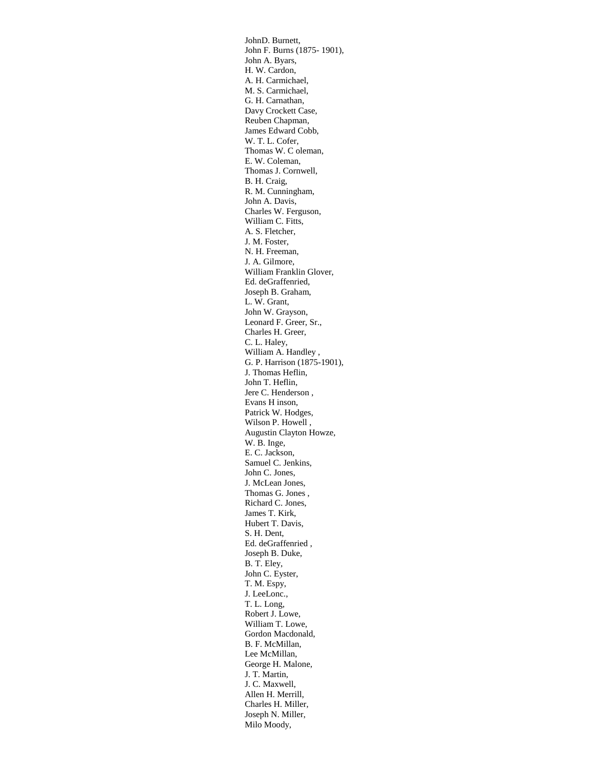JohnD. Burnett, John F. Burns (1875- 1901), John A. Byars, H. W. Cardon, A. H. Carmichael, M. S. Carmichael, G. H. Carnathan, Davy Crockett Case, Reuben Chapman, James Edward Cobb, W. T. L. Cofer, Thomas W. C oleman, E. W. Coleman, Thomas J. Cornwell, B. H. Craig, R. M. Cunningham, John A. Davis, Charles W. Ferguson, William C. Fitts, A. S. Fletcher, J. M. Foster, N. H. Freeman, J. A. Gilmore, William Franklin Glover, Ed. deGraffenried, Joseph B. Graham, L. W. Grant, John W. Grayson, Leonard F. Greer, Sr., Charles H. Greer, C. L. Haley, William A. Handley , G. P. Harrison (1875-1901), J. Thomas Heflin, John T. Heflin, Jere C. Henderson , Evans H inson, Patrick W. Hodges, Wilson P. Howell , Augustin Clayton Howze, W. B. Inge, E. C. Jackson, Samuel C. Jenkins, John C. Jones, J. McLean Jones, Thomas G. Jones , Richard C. Jones, James T. Kirk, Hubert T. Davis, S. H. Dent, Ed. deGraffenried , Joseph B. Duke, B. T. Eley, John C. Eyster, T. M. Espy, J. LeeLonc., T. L. Long, Robert J. Lowe, William T. Lowe, Gordon Macdonald, B. F. McMillan, Lee McMillan, George H. Malone, J. T. Martin, J. C. Maxwell, Allen H. Merrill, Charles H. Miller, Joseph N. Miller, Milo Moody,